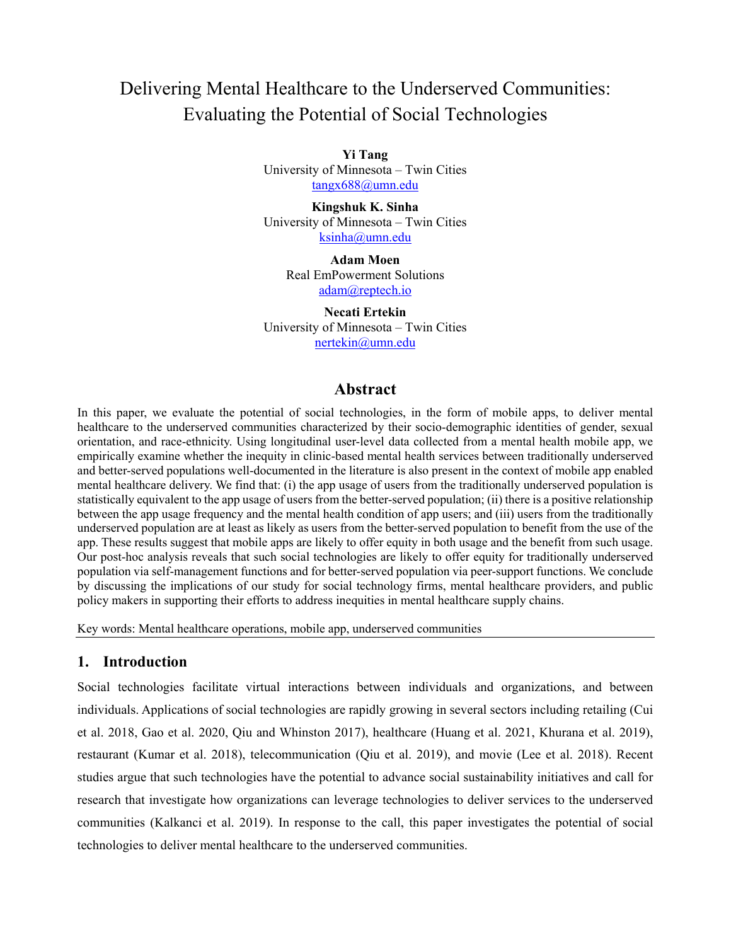# Delivering Mental Healthcare to the Underserved Communities: Evaluating the Potential of Social Technologies

**Yi Tang** University of Minnesota – Twin Cities [tangx688@umn.edu](mailto:tangx688@umn.edu)

**Kingshuk K. Sinha** University of Minnesota – Twin Cities [ksinha@umn.edu](mailto:ksinha@umn.edu)

> **Adam Moen** Real EmPowerment Solutions [adam@reptech.io](mailto:adam@reptech.io)

**Necati Ertekin** University of Minnesota – Twin Cities [nertekin@umn.edu](mailto:nertekin@umn.edu)

## **Abstract**

In this paper, we evaluate the potential of social technologies, in the form of mobile apps, to deliver mental healthcare to the underserved communities characterized by their socio-demographic identities of gender, sexual orientation, and race-ethnicity. Using longitudinal user-level data collected from a mental health mobile app, we empirically examine whether the inequity in clinic-based mental health services between traditionally underserved and better-served populations well-documented in the literature is also present in the context of mobile app enabled mental healthcare delivery. We find that: (i) the app usage of users from the traditionally underserved population is statistically equivalent to the app usage of users from the better-served population; (ii) there is a positive relationship between the app usage frequency and the mental health condition of app users; and (iii) users from the traditionally underserved population are at least as likely as users from the better-served population to benefit from the use of the app. These results suggest that mobile apps are likely to offer equity in both usage and the benefit from such usage. Our post-hoc analysis reveals that such social technologies are likely to offer equity for traditionally underserved population via self-management functions and for better-served population via peer-support functions. We conclude by discussing the implications of our study for social technology firms, mental healthcare providers, and public policy makers in supporting their efforts to address inequities in mental healthcare supply chains.

Key words: Mental healthcare operations, mobile app, underserved communities

## **1. Introduction**

Social technologies facilitate virtual interactions between individuals and organizations, and between individuals. Applications of social technologies are rapidly growing in several sectors including retailing (Cui et al. 2018, Gao et al. 2020, Qiu and Whinston 2017), healthcare (Huang et al. 2021, Khurana et al. 2019), restaurant (Kumar et al. 2018), telecommunication (Qiu et al. 2019), and movie (Lee et al. 2018). Recent studies argue that such technologies have the potential to advance social sustainability initiatives and call for research that investigate how organizations can leverage technologies to deliver services to the underserved communities (Kalkanci et al. 2019). In response to the call, this paper investigates the potential of social technologies to deliver mental healthcare to the underserved communities.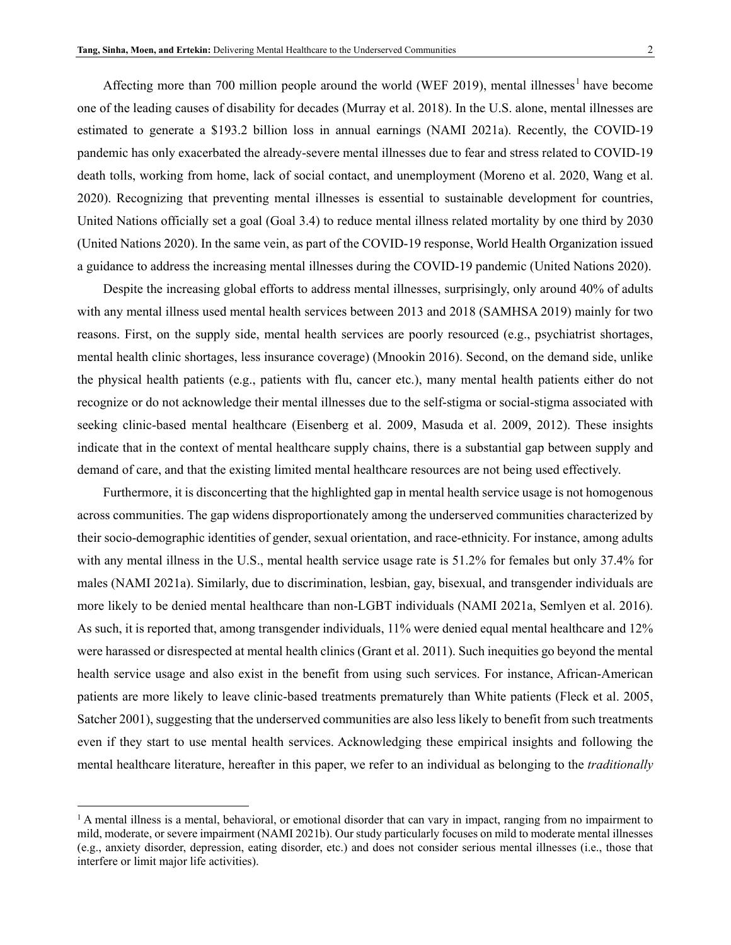Affecting more than 700 million people around the world (WEF 20[1](#page-1-0)9), mental illnesses<sup>1</sup> have become one of the leading causes of disability for decades (Murray et al. 2018). In the U.S. alone, mental illnesses are estimated to generate a \$193.2 billion loss in annual earnings (NAMI 2021a). Recently, the COVID-19 pandemic has only exacerbated the already-severe mental illnesses due to fear and stress related to COVID-19 death tolls, working from home, lack of social contact, and unemployment (Moreno et al. 2020, Wang et al. 2020). Recognizing that preventing mental illnesses is essential to sustainable development for countries, United Nations officially set a goal (Goal 3.4) to reduce mental illness related mortality by one third by 2030 (United Nations 2020). In the same vein, as part of the COVID-19 response, World Health Organization issued a guidance to address the increasing mental illnesses during the COVID-19 pandemic (United Nations 2020).

Despite the increasing global efforts to address mental illnesses, surprisingly, only around 40% of adults with any mental illness used mental health services between 2013 and 2018 (SAMHSA 2019) mainly for two reasons. First, on the supply side, mental health services are poorly resourced (e.g., psychiatrist shortages, mental health clinic shortages, less insurance coverage) (Mnookin 2016). Second, on the demand side, unlike the physical health patients (e.g., patients with flu, cancer etc.), many mental health patients either do not recognize or do not acknowledge their mental illnesses due to the self-stigma or social-stigma associated with seeking clinic-based mental healthcare (Eisenberg et al. 2009, Masuda et al. 2009, 2012). These insights indicate that in the context of mental healthcare supply chains, there is a substantial gap between supply and demand of care, and that the existing limited mental healthcare resources are not being used effectively.

Furthermore, it is disconcerting that the highlighted gap in mental health service usage is not homogenous across communities. The gap widens disproportionately among the underserved communities characterized by their socio-demographic identities of gender, sexual orientation, and race-ethnicity. For instance, among adults with any mental illness in the U.S., mental health service usage rate is 51.2% for females but only 37.4% for males (NAMI 2021a). Similarly, due to discrimination, lesbian, gay, bisexual, and transgender individuals are more likely to be denied mental healthcare than non-LGBT individuals (NAMI 2021a, Semlyen et al. 2016). As such, it is reported that, among transgender individuals, 11% were denied equal mental healthcare and 12% were harassed or disrespected at mental health clinics (Grant et al. 2011). Such inequities go beyond the mental health service usage and also exist in the benefit from using such services. For instance, African-American patients are more likely to leave clinic-based treatments prematurely than White patients (Fleck et al. 2005, Satcher 2001), suggesting that the underserved communities are also less likely to benefit from such treatments even if they start to use mental health services. Acknowledging these empirical insights and following the mental healthcare literature, hereafter in this paper, we refer to an individual as belonging to the *traditionally* 

<span id="page-1-0"></span> $\overline{a}$ 

 $<sup>1</sup>$  A mental illness is a mental, behavioral, or emotional disorder that can vary in impact, ranging from no impairment to</sup> mild, moderate, or severe impairment (NAMI 2021b). Our study particularly focuses on mild to moderate mental illnesses (e.g., anxiety disorder, depression, eating disorder, etc.) and does not consider serious mental illnesses (i.e., those that interfere or limit major life activities).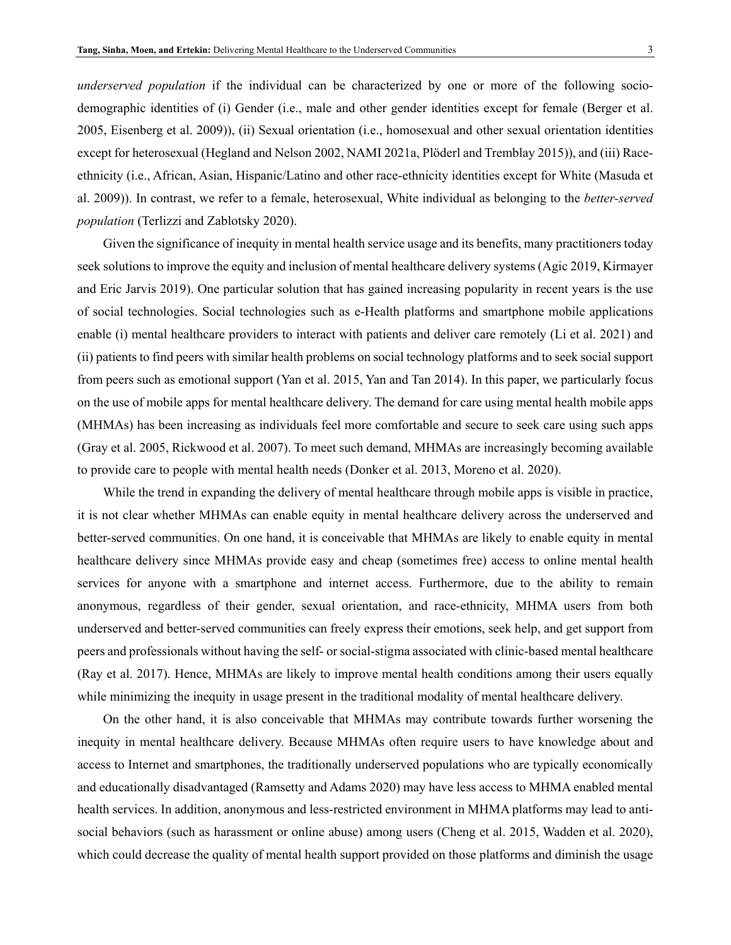*underserved population* if the individual can be characterized by one or more of the following sociodemographic identities of (i) Gender (i.e., male and other gender identities except for female (Berger et al. 2005, Eisenberg et al. 2009)), (ii) Sexual orientation (i.e., homosexual and other sexual orientation identities except for heterosexual (Hegland and Nelson 2002, NAMI 2021a, Plöderl and Tremblay 2015)), and (iii) Raceethnicity (i.e., African, Asian, Hispanic/Latino and other race-ethnicity identities except for White (Masuda et al. 2009)). In contrast, we refer to a female, heterosexual, White individual as belonging to the *better-served population* (Terlizzi and Zablotsky 2020).

Given the significance of inequity in mental health service usage and its benefits, many practitioners today seek solutions to improve the equity and inclusion of mental healthcare delivery systems (Agic 2019, Kirmayer and Eric Jarvis 2019). One particular solution that has gained increasing popularity in recent years is the use of social technologies. Social technologies such as e-Health platforms and smartphone mobile applications enable (i) mental healthcare providers to interact with patients and deliver care remotely (Li et al. 2021) and (ii) patients to find peers with similar health problems on social technology platforms and to seek social support from peers such as emotional support (Yan et al. 2015, Yan and Tan 2014). In this paper, we particularly focus on the use of mobile apps for mental healthcare delivery. The demand for care using mental health mobile apps (MHMAs) has been increasing as individuals feel more comfortable and secure to seek care using such apps (Gray et al. 2005, Rickwood et al. 2007). To meet such demand, MHMAs are increasingly becoming available to provide care to people with mental health needs (Donker et al. 2013, Moreno et al. 2020).

While the trend in expanding the delivery of mental healthcare through mobile apps is visible in practice, it is not clear whether MHMAs can enable equity in mental healthcare delivery across the underserved and better-served communities. On one hand, it is conceivable that MHMAs are likely to enable equity in mental healthcare delivery since MHMAs provide easy and cheap (sometimes free) access to online mental health services for anyone with a smartphone and internet access. Furthermore, due to the ability to remain anonymous, regardless of their gender, sexual orientation, and race-ethnicity, MHMA users from both underserved and better-served communities can freely express their emotions, seek help, and get support from peers and professionals without having the self- or social-stigma associated with clinic-based mental healthcare (Ray et al. 2017). Hence, MHMAs are likely to improve mental health conditions among their users equally while minimizing the inequity in usage present in the traditional modality of mental healthcare delivery.

On the other hand, it is also conceivable that MHMAs may contribute towards further worsening the inequity in mental healthcare delivery. Because MHMAs often require users to have knowledge about and access to Internet and smartphones, the traditionally underserved populations who are typically economically and educationally disadvantaged (Ramsetty and Adams 2020) may have less access to MHMA enabled mental health services. In addition, anonymous and less-restricted environment in MHMA platforms may lead to antisocial behaviors (such as harassment or online abuse) among users (Cheng et al. 2015, Wadden et al. 2020), which could decrease the quality of mental health support provided on those platforms and diminish the usage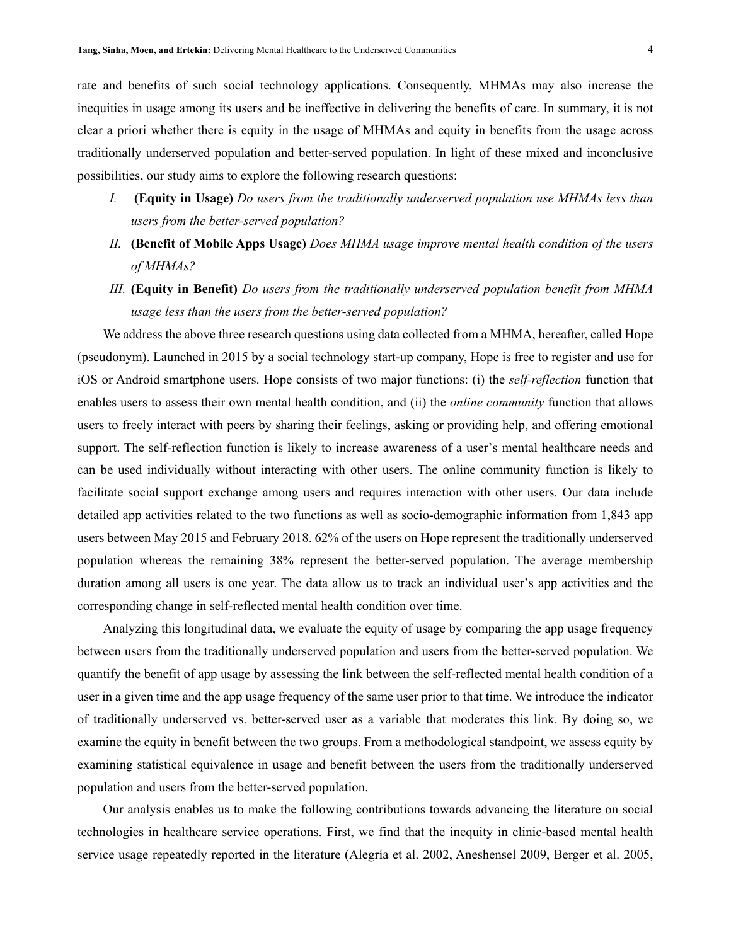rate and benefits of such social technology applications. Consequently, MHMAs may also increase the inequities in usage among its users and be ineffective in delivering the benefits of care. In summary, it is not clear a priori whether there is equity in the usage of MHMAs and equity in benefits from the usage across traditionally underserved population and better-served population. In light of these mixed and inconclusive possibilities, our study aims to explore the following research questions:

- *I.* **(Equity in Usage)** *Do users from the traditionally underserved population use MHMAs less than users from the better-served population?*
- *II.* **(Benefit of Mobile Apps Usage)** *Does MHMA usage improve mental health condition of the users of MHMAs?*
- *III.* **(Equity in Benefit)** *Do users from the traditionally underserved population benefit from MHMA usage less than the users from the better-served population?*

We address the above three research questions using data collected from a MHMA, hereafter, called Hope (pseudonym). Launched in 2015 by a social technology start-up company, Hope is free to register and use for iOS or Android smartphone users. Hope consists of two major functions: (i) the *self-reflection* function that enables users to assess their own mental health condition, and (ii) the *online community* function that allows users to freely interact with peers by sharing their feelings, asking or providing help, and offering emotional support. The self-reflection function is likely to increase awareness of a user's mental healthcare needs and can be used individually without interacting with other users. The online community function is likely to facilitate social support exchange among users and requires interaction with other users. Our data include detailed app activities related to the two functions as well as socio-demographic information from 1,843 app users between May 2015 and February 2018. 62% of the users on Hope represent the traditionally underserved population whereas the remaining 38% represent the better-served population. The average membership duration among all users is one year. The data allow us to track an individual user's app activities and the corresponding change in self-reflected mental health condition over time.

Analyzing this longitudinal data, we evaluate the equity of usage by comparing the app usage frequency between users from the traditionally underserved population and users from the better-served population. We quantify the benefit of app usage by assessing the link between the self-reflected mental health condition of a user in a given time and the app usage frequency of the same user prior to that time. We introduce the indicator of traditionally underserved vs. better-served user as a variable that moderates this link. By doing so, we examine the equity in benefit between the two groups. From a methodological standpoint, we assess equity by examining statistical equivalence in usage and benefit between the users from the traditionally underserved population and users from the better-served population.

Our analysis enables us to make the following contributions towards advancing the literature on social technologies in healthcare service operations. First, we find that the inequity in clinic-based mental health service usage repeatedly reported in the literature (Alegría et al. 2002, Aneshensel 2009, Berger et al. 2005,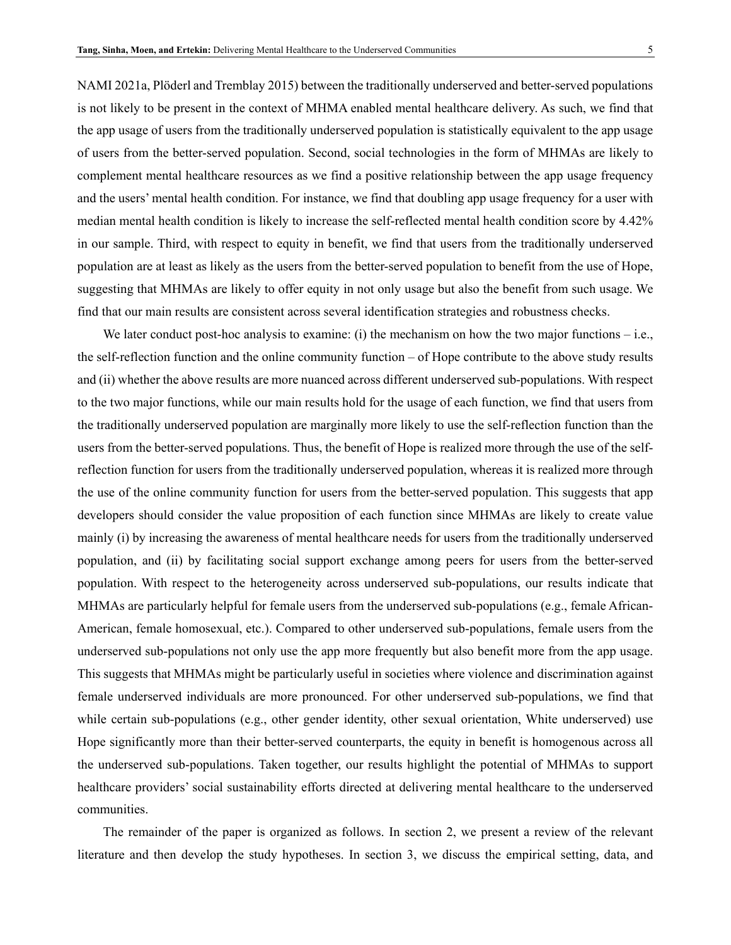NAMI 2021a, Plöderl and Tremblay 2015) between the traditionally underserved and better-served populations is not likely to be present in the context of MHMA enabled mental healthcare delivery. As such, we find that the app usage of users from the traditionally underserved population is statistically equivalent to the app usage of users from the better-served population. Second, social technologies in the form of MHMAs are likely to complement mental healthcare resources as we find a positive relationship between the app usage frequency and the users' mental health condition. For instance, we find that doubling app usage frequency for a user with median mental health condition is likely to increase the self-reflected mental health condition score by 4.42% in our sample. Third, with respect to equity in benefit, we find that users from the traditionally underserved population are at least as likely as the users from the better-served population to benefit from the use of Hope, suggesting that MHMAs are likely to offer equity in not only usage but also the benefit from such usage. We find that our main results are consistent across several identification strategies and robustness checks.

We later conduct post-hoc analysis to examine: (i) the mechanism on how the two major functions – i.e., the self-reflection function and the online community function – of Hope contribute to the above study results and (ii) whether the above results are more nuanced across different underserved sub-populations. With respect to the two major functions, while our main results hold for the usage of each function, we find that users from the traditionally underserved population are marginally more likely to use the self-reflection function than the users from the better-served populations. Thus, the benefit of Hope is realized more through the use of the selfreflection function for users from the traditionally underserved population, whereas it is realized more through the use of the online community function for users from the better-served population. This suggests that app developers should consider the value proposition of each function since MHMAs are likely to create value mainly (i) by increasing the awareness of mental healthcare needs for users from the traditionally underserved population, and (ii) by facilitating social support exchange among peers for users from the better-served population. With respect to the heterogeneity across underserved sub-populations, our results indicate that MHMAs are particularly helpful for female users from the underserved sub-populations (e.g., female African-American, female homosexual, etc.). Compared to other underserved sub-populations, female users from the underserved sub-populations not only use the app more frequently but also benefit more from the app usage. This suggests that MHMAs might be particularly useful in societies where violence and discrimination against female underserved individuals are more pronounced. For other underserved sub-populations, we find that while certain sub-populations (e.g., other gender identity, other sexual orientation, White underserved) use Hope significantly more than their better-served counterparts, the equity in benefit is homogenous across all the underserved sub-populations. Taken together, our results highlight the potential of MHMAs to support healthcare providers' social sustainability efforts directed at delivering mental healthcare to the underserved communities.

The remainder of the paper is organized as follows. In section 2, we present a review of the relevant literature and then develop the study hypotheses. In section 3, we discuss the empirical setting, data, and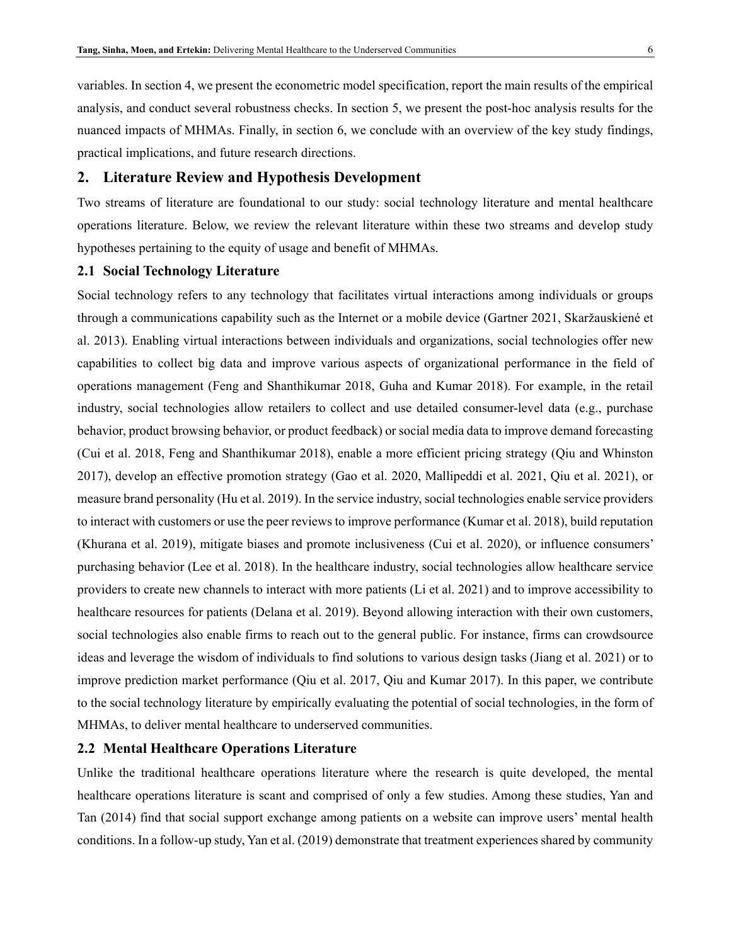variables. In section 4, we present the econometric model specification, report the main results of the empirical analysis, and conduct several robustness checks. In section 5, we present the post-hoc analysis results for the nuanced impacts of MHMAs. Finally, in section 6, we conclude with an overview of the key study findings, practical implications, and future research directions.

## **2. Literature Review and Hypothesis Development**

Two streams of literature are foundational to our study: social technology literature and mental healthcare operations literature. Below, we review the relevant literature within these two streams and develop study hypotheses pertaining to the equity of usage and benefit of MHMAs.

## **2.1 Social Technology Literature**

Social technology refers to any technology that facilitates virtual interactions among individuals or groups through a communications capability such as the Internet or a mobile device (Gartner 2021, Skaržauskiené et al. 2013). Enabling virtual interactions between individuals and organizations, social technologies offer new capabilities to collect big data and improve various aspects of organizational performance in the field of operations management (Feng and Shanthikumar 2018, Guha and Kumar 2018). For example, in the retail industry, social technologies allow retailers to collect and use detailed consumer-level data (e.g., purchase behavior, product browsing behavior, or product feedback) or social media data to improve demand forecasting (Cui et al. 2018, Feng and Shanthikumar 2018), enable a more efficient pricing strategy (Qiu and Whinston 2017), develop an effective promotion strategy (Gao et al. 2020, Mallipeddi et al. 2021, Qiu et al. 2021), or measure brand personality (Hu et al. 2019). In the service industry, social technologies enable service providers to interact with customers or use the peer reviews to improve performance (Kumar et al. 2018), build reputation (Khurana et al. 2019), mitigate biases and promote inclusiveness (Cui et al. 2020), or influence consumers' purchasing behavior (Lee et al. 2018). In the healthcare industry, social technologies allow healthcare service providers to create new channels to interact with more patients (Li et al. 2021) and to improve accessibility to healthcare resources for patients (Delana et al. 2019). Beyond allowing interaction with their own customers, social technologies also enable firms to reach out to the general public. For instance, firms can crowdsource ideas and leverage the wisdom of individuals to find solutions to various design tasks (Jiang et al. 2021) or to improve prediction market performance (Qiu et al. 2017, Qiu and Kumar 2017). In this paper, we contribute to the social technology literature by empirically evaluating the potential of social technologies, in the form of MHMAs, to deliver mental healthcare to underserved communities.

## **2.2 Mental Healthcare Operations Literature**

Unlike the traditional healthcare operations literature where the research is quite developed, the mental healthcare operations literature is scant and comprised of only a few studies. Among these studies, Yan and Tan (2014) find that social support exchange among patients on a website can improve users' mental health conditions. In a follow-up study, Yan et al. (2019) demonstrate that treatment experiences shared by community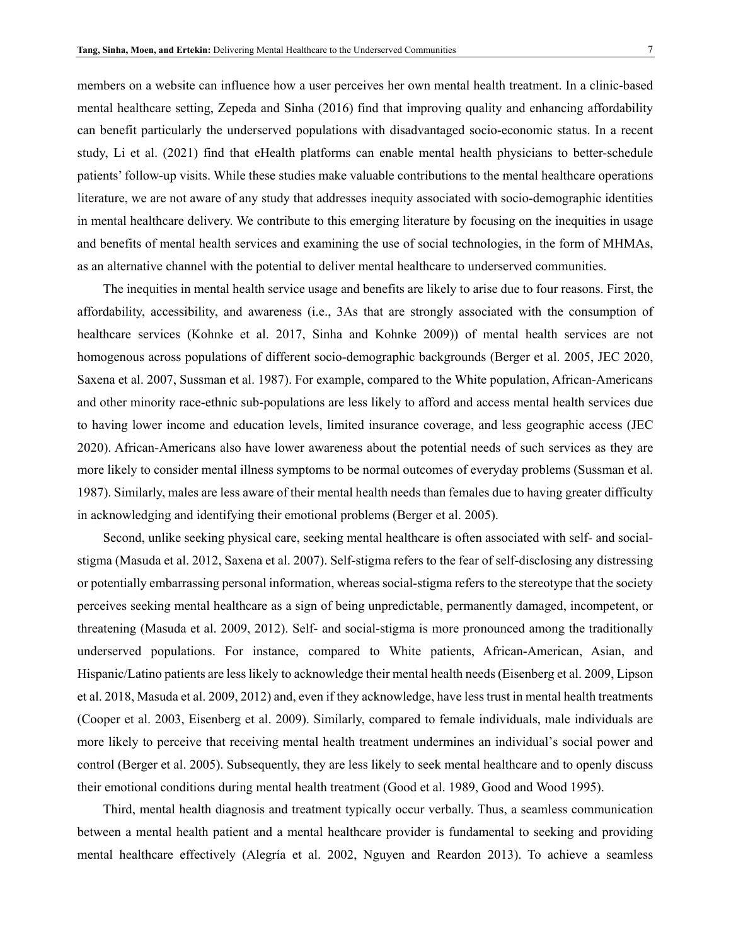members on a website can influence how a user perceives her own mental health treatment. In a clinic-based mental healthcare setting, Zepeda and Sinha (2016) find that improving quality and enhancing affordability can benefit particularly the underserved populations with disadvantaged socio-economic status. In a recent study, Li et al. (2021) find that eHealth platforms can enable mental health physicians to better-schedule patients' follow-up visits. While these studies make valuable contributions to the mental healthcare operations literature, we are not aware of any study that addresses inequity associated with socio-demographic identities in mental healthcare delivery. We contribute to this emerging literature by focusing on the inequities in usage and benefits of mental health services and examining the use of social technologies, in the form of MHMAs, as an alternative channel with the potential to deliver mental healthcare to underserved communities.

The inequities in mental health service usage and benefits are likely to arise due to four reasons. First, the affordability, accessibility, and awareness (i.e., 3As that are strongly associated with the consumption of healthcare services (Kohnke et al. 2017, Sinha and Kohnke 2009)) of mental health services are not homogenous across populations of different socio-demographic backgrounds (Berger et al. 2005, JEC 2020, Saxena et al. 2007, Sussman et al. 1987). For example, compared to the White population, African-Americans and other minority race-ethnic sub-populations are less likely to afford and access mental health services due to having lower income and education levels, limited insurance coverage, and less geographic access (JEC 2020). African-Americans also have lower awareness about the potential needs of such services as they are more likely to consider mental illness symptoms to be normal outcomes of everyday problems (Sussman et al. 1987). Similarly, males are less aware of their mental health needs than females due to having greater difficulty in acknowledging and identifying their emotional problems (Berger et al. 2005).

Second, unlike seeking physical care, seeking mental healthcare is often associated with self- and socialstigma (Masuda et al. 2012, Saxena et al. 2007). Self-stigma refers to the fear of self-disclosing any distressing or potentially embarrassing personal information, whereas social-stigma refers to the stereotype that the society perceives seeking mental healthcare as a sign of being unpredictable, permanently damaged, incompetent, or threatening (Masuda et al. 2009, 2012). Self- and social-stigma is more pronounced among the traditionally underserved populations. For instance, compared to White patients, African-American, Asian, and Hispanic/Latino patients are less likely to acknowledge their mental health needs (Eisenberg et al. 2009, Lipson et al. 2018, Masuda et al. 2009, 2012) and, even if they acknowledge, have less trust in mental health treatments (Cooper et al. 2003, Eisenberg et al. 2009). Similarly, compared to female individuals, male individuals are more likely to perceive that receiving mental health treatment undermines an individual's social power and control (Berger et al. 2005). Subsequently, they are less likely to seek mental healthcare and to openly discuss their emotional conditions during mental health treatment (Good et al. 1989, Good and Wood 1995).

Third, mental health diagnosis and treatment typically occur verbally. Thus, a seamless communication between a mental health patient and a mental healthcare provider is fundamental to seeking and providing mental healthcare effectively (Alegría et al. 2002, Nguyen and Reardon 2013). To achieve a seamless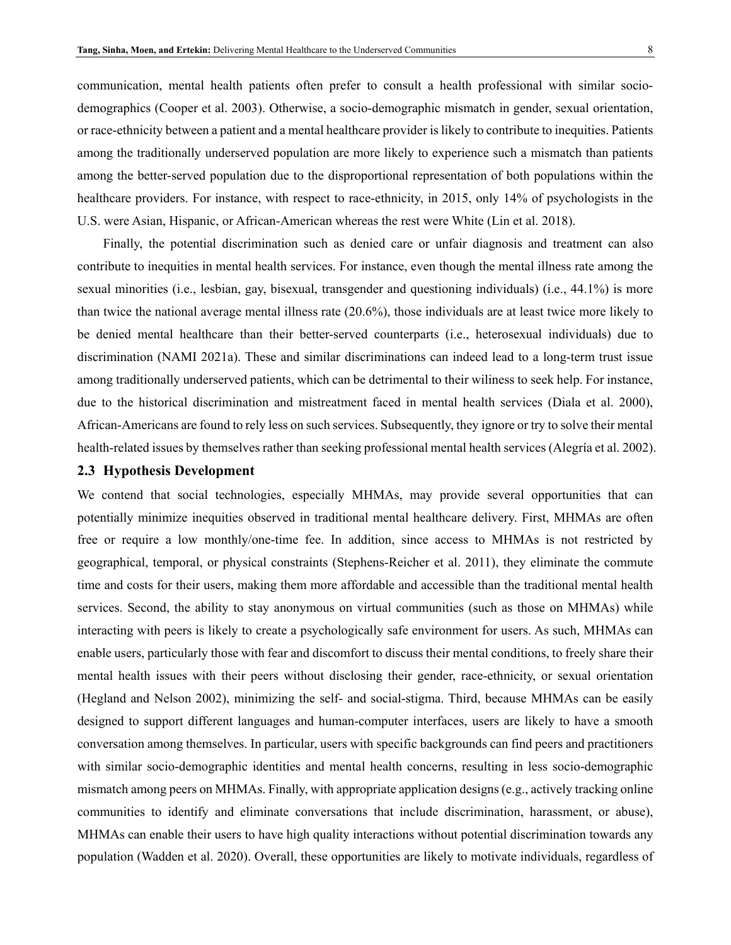communication, mental health patients often prefer to consult a health professional with similar sociodemographics (Cooper et al. 2003). Otherwise, a socio-demographic mismatch in gender, sexual orientation, or race-ethnicity between a patient and a mental healthcare provider is likely to contribute to inequities. Patients among the traditionally underserved population are more likely to experience such a mismatch than patients among the better-served population due to the disproportional representation of both populations within the healthcare providers. For instance, with respect to race-ethnicity, in 2015, only 14% of psychologists in the U.S. were Asian, Hispanic, or African-American whereas the rest were White (Lin et al. 2018).

Finally, the potential discrimination such as denied care or unfair diagnosis and treatment can also contribute to inequities in mental health services. For instance, even though the mental illness rate among the sexual minorities (i.e., lesbian, gay, bisexual, transgender and questioning individuals) (i.e., 44.1%) is more than twice the national average mental illness rate (20.6%), those individuals are at least twice more likely to be denied mental healthcare than their better-served counterparts (i.e., heterosexual individuals) due to discrimination (NAMI 2021a). These and similar discriminations can indeed lead to a long-term trust issue among traditionally underserved patients, which can be detrimental to their wiliness to seek help. For instance, due to the historical discrimination and mistreatment faced in mental health services (Diala et al. 2000), African-Americans are found to rely less on such services. Subsequently, they ignore or try to solve their mental health-related issues by themselves rather than seeking professional mental health services (Alegría et al. 2002).

#### **2.3 Hypothesis Development**

We contend that social technologies, especially MHMAs, may provide several opportunities that can potentially minimize inequities observed in traditional mental healthcare delivery. First, MHMAs are often free or require a low monthly/one-time fee. In addition, since access to MHMAs is not restricted by geographical, temporal, or physical constraints (Stephens-Reicher et al. 2011), they eliminate the commute time and costs for their users, making them more affordable and accessible than the traditional mental health services. Second, the ability to stay anonymous on virtual communities (such as those on MHMAs) while interacting with peers is likely to create a psychologically safe environment for users. As such, MHMAs can enable users, particularly those with fear and discomfort to discuss their mental conditions, to freely share their mental health issues with their peers without disclosing their gender, race-ethnicity, or sexual orientation (Hegland and Nelson 2002), minimizing the self- and social-stigma. Third, because MHMAs can be easily designed to support different languages and human-computer interfaces, users are likely to have a smooth conversation among themselves. In particular, users with specific backgrounds can find peers and practitioners with similar socio-demographic identities and mental health concerns, resulting in less socio-demographic mismatch among peers on MHMAs. Finally, with appropriate application designs (e.g., actively tracking online communities to identify and eliminate conversations that include discrimination, harassment, or abuse), MHMAs can enable their users to have high quality interactions without potential discrimination towards any population (Wadden et al. 2020). Overall, these opportunities are likely to motivate individuals, regardless of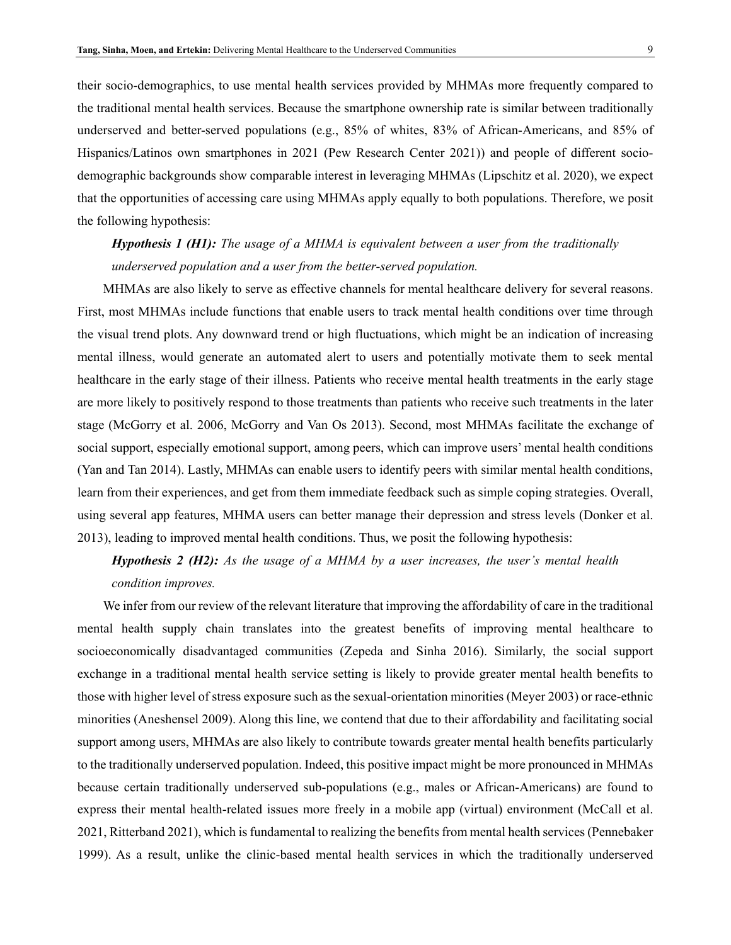their socio-demographics, to use mental health services provided by MHMAs more frequently compared to the traditional mental health services. Because the smartphone ownership rate is similar between traditionally underserved and better-served populations (e.g., 85% of whites, 83% of African-Americans, and 85% of Hispanics/Latinos own smartphones in 2021 (Pew Research Center 2021)) and people of different sociodemographic backgrounds show comparable interest in leveraging MHMAs (Lipschitz et al. 2020), we expect that the opportunities of accessing care using MHMAs apply equally to both populations. Therefore, we posit the following hypothesis:

*Hypothesis 1 (H1): The usage of a MHMA is equivalent between a user from the traditionally underserved population and a user from the better-served population.* 

MHMAs are also likely to serve as effective channels for mental healthcare delivery for several reasons. First, most MHMAs include functions that enable users to track mental health conditions over time through the visual trend plots. Any downward trend or high fluctuations, which might be an indication of increasing mental illness, would generate an automated alert to users and potentially motivate them to seek mental healthcare in the early stage of their illness. Patients who receive mental health treatments in the early stage are more likely to positively respond to those treatments than patients who receive such treatments in the later stage (McGorry et al. 2006, McGorry and Van Os 2013). Second, most MHMAs facilitate the exchange of social support, especially emotional support, among peers, which can improve users' mental health conditions (Yan and Tan 2014). Lastly, MHMAs can enable users to identify peers with similar mental health conditions, learn from their experiences, and get from them immediate feedback such as simple coping strategies. Overall, using several app features, MHMA users can better manage their depression and stress levels (Donker et al. 2013), leading to improved mental health conditions. Thus, we posit the following hypothesis:

*Hypothesis 2 (H2): As the usage of a MHMA by a user increases, the user's mental health condition improves.*

We infer from our review of the relevant literature that improving the affordability of care in the traditional mental health supply chain translates into the greatest benefits of improving mental healthcare to socioeconomically disadvantaged communities (Zepeda and Sinha 2016). Similarly, the social support exchange in a traditional mental health service setting is likely to provide greater mental health benefits to those with higher level of stress exposure such as the sexual-orientation minorities (Meyer 2003) or race-ethnic minorities (Aneshensel 2009). Along this line, we contend that due to their affordability and facilitating social support among users, MHMAs are also likely to contribute towards greater mental health benefits particularly to the traditionally underserved population. Indeed, this positive impact might be more pronounced in MHMAs because certain traditionally underserved sub-populations (e.g., males or African-Americans) are found to express their mental health-related issues more freely in a mobile app (virtual) environment (McCall et al. 2021, Ritterband 2021), which is fundamental to realizing the benefits from mental health services (Pennebaker 1999). As a result, unlike the clinic-based mental health services in which the traditionally underserved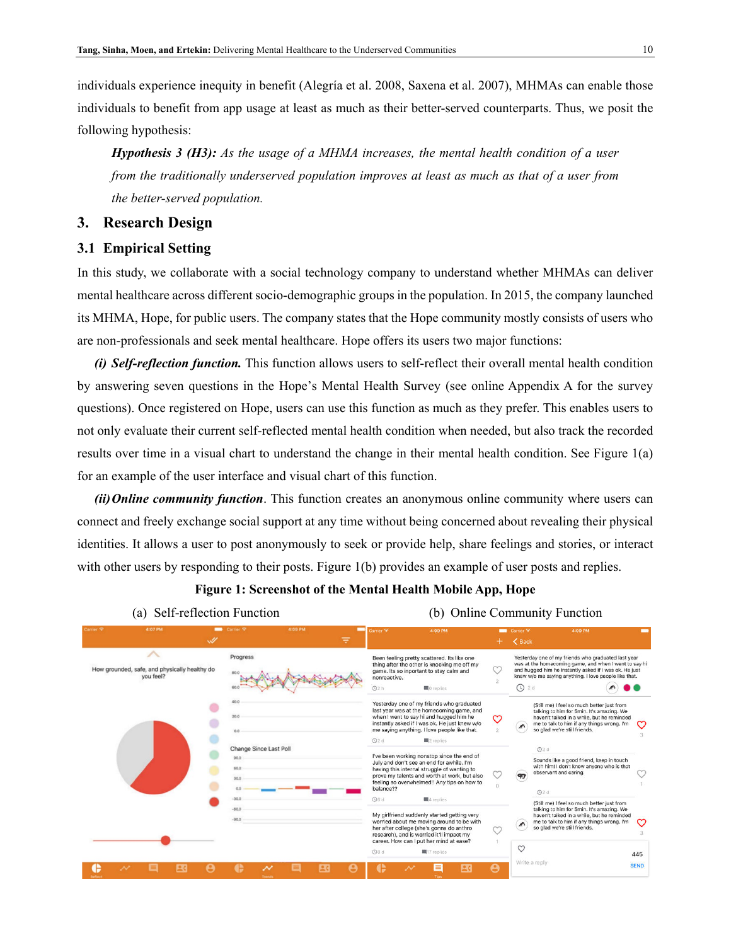individuals experience inequity in benefit (Alegría et al. 2008, Saxena et al. 2007), MHMAs can enable those individuals to benefit from app usage at least as much as their better-served counterparts. Thus, we posit the following hypothesis:

*Hypothesis 3 (H3): As the usage of a MHMA increases, the mental health condition of a user from the traditionally underserved population improves at least as much as that of a user from the better-served population.*

## **3. Research Design**

#### **3.1 Empirical Setting**

In this study, we collaborate with a social technology company to understand whether MHMAs can deliver mental healthcare across different socio-demographic groups in the population. In 2015, the company launched its MHMA, Hope, for public users. The company states that the Hope community mostly consists of users who are non-professionals and seek mental healthcare. Hope offers its users two major functions:

*(i) Self-reflection function.* This function allows users to self-reflect their overall mental health condition by answering seven questions in the Hope's Mental Health Survey (see online Appendix A for the survey questions). Once registered on Hope, users can use this function as much as they prefer. This enables users to not only evaluate their current self-reflected mental health condition when needed, but also track the recorded results over time in a visual chart to understand the change in their mental health condition. See [Figure 1\(](#page-9-0)a) for an example of the user interface and visual chart of this function.

*(ii)Online community function*. This function creates an anonymous online community where users can connect and freely exchange social support at any time without being concerned about revealing their physical identities. It allows a user to post anonymously to seek or provide help, share feelings and stories, or interact with other users by responding to their posts. [Figure 1\(](#page-9-0)b) provides an example of user posts and replies.

## <span id="page-9-0"></span>**Figure 1: Screenshot of the Mental Health Mobile App, Hope**

| (a) Self-reflection Function                               |                                                                  | (b) Online Community Function |                          |                                                                                                                                                                                                                                                  |    |                       |                                                                                                                                                                                                                                           |                                                                                                                                                                                     |                    |
|------------------------------------------------------------|------------------------------------------------------------------|-------------------------------|--------------------------|--------------------------------------------------------------------------------------------------------------------------------------------------------------------------------------------------------------------------------------------------|----|-----------------------|-------------------------------------------------------------------------------------------------------------------------------------------------------------------------------------------------------------------------------------------|-------------------------------------------------------------------------------------------------------------------------------------------------------------------------------------|--------------------|
| Carrier <sub>®</sub><br>4:07 PM<br>$\mathscr{A}$           | <b>Extract Carrier TV</b>                                        | 4:09 PM                       | arrier <sub>®</sub><br>₹ | 4:09 PM                                                                                                                                                                                                                                          |    |                       | Carrier <sup>®</sup><br>< Back                                                                                                                                                                                                            | 4:09 PM                                                                                                                                                                             |                    |
| How grounded, safe, and physically healthy do<br>vou feel? | Progress<br>80.0                                                 |                               | nonreactive.<br>Q2h      | Been feeling pretty scattered. Its like one<br>thing after the other is knocking me off my<br>game. Its so inportant to stay calm and<br>O replies                                                                                               |    |                       | Yesterday one of my friends who graduated last year<br>was at the homecoming game, and when I went to say hi<br>and hugged him he instantly asked if I was ok. He just<br>knew w/o me saying anything. I love people like that.<br>$Q$ 2d |                                                                                                                                                                                     |                    |
|                                                            | 40.0<br>20.0<br>0.0                                              |                               | Q2d                      | Yesterday one of my friends who graduated<br>last year was at the homecoming game, and<br>when I went to say hi and hugged him he<br>instantly asked if I was ok. He just knew w/o<br>me saying anything. I love people like that.<br>■2 replies |    | ო                     | $\sqrt{2}$<br>so glad we're still friends.                                                                                                                                                                                                | (Still me) I feel so much better just from<br>talking to him for 5min, It's amazing. We<br>haven't talked in a while, but he reminded<br>me to talk to him if any things wrong. I'm | တ                  |
|                                                            | <b>Change Since Last Poll</b><br>90.0<br>60.0<br>30.0<br>$-30.0$ |                               | balance??                | I've been working nonstop since the end of<br>July and don't see an end for awhile. I'm<br>having this internal struggle of wanting to<br>prove my talents and worth at work, but also<br>feeling so overwhelmed!! Any tips on how to            |    |                       | Q2d<br>observant and caring.<br>97<br>Q2d                                                                                                                                                                                                 | Sounds like a good friend, keep in touch<br>with him! I don't know anyone who is that                                                                                               |                    |
|                                                            | $-60.$<br>$-90.$                                                 |                               | O6d                      | ■4 replies<br>My girlfriend suddenly started getting very<br>worried about me moving around to be with<br>her after college (she's gonna do anthro<br>research), and is worried it'll impact my<br>career. How can I put her mind at ease?       |    |                       | so glad we're still friends.<br>$\circ$                                                                                                                                                                                                   | (Still me) I feel so much better just from<br>talking to him for 5min. It's amazing. We<br>haven't talked in a while, but he reminded<br>me to talk to him if any things wrong. I'm | ෆ                  |
|                                                            | $\checkmark$                                                     | ЩC                            | Q8d                      | ■17 replies<br>E                                                                                                                                                                                                                                 | EС | $\boldsymbol{\Theta}$ | Write a reply                                                                                                                                                                                                                             |                                                                                                                                                                                     | 445<br><b>SEND</b> |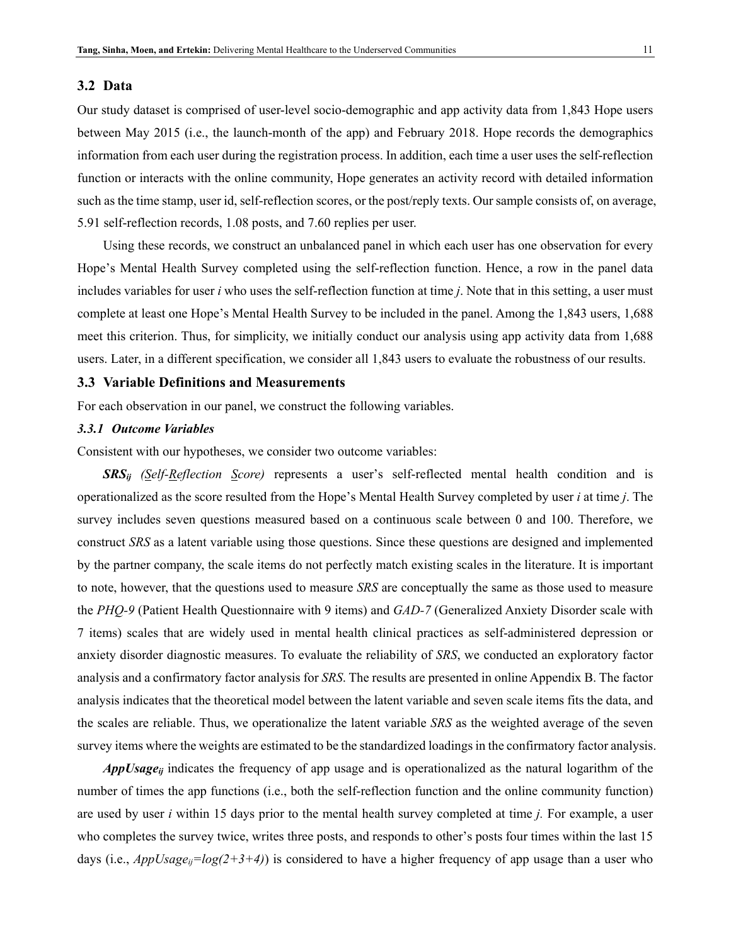#### **3.2 Data**

Our study dataset is comprised of user-level socio-demographic and app activity data from 1,843 Hope users between May 2015 (i.e., the launch-month of the app) and February 2018. Hope records the demographics information from each user during the registration process. In addition, each time a user uses the self-reflection function or interacts with the online community, Hope generates an activity record with detailed information such as the time stamp, user id, self-reflection scores, or the post/reply texts. Our sample consists of, on average, 5.91 self-reflection records, 1.08 posts, and 7.60 replies per user.

Using these records, we construct an unbalanced panel in which each user has one observation for every Hope's Mental Health Survey completed using the self-reflection function. Hence, a row in the panel data includes variables for user *i* who uses the self-reflection function at time *j*. Note that in this setting, a user must complete at least one Hope's Mental Health Survey to be included in the panel. Among the 1,843 users, 1,688 meet this criterion. Thus, for simplicity, we initially conduct our analysis using app activity data from 1,688 users. Later, in a different specification, we consider all 1,843 users to evaluate the robustness of our results.

## **3.3 Variable Definitions and Measurements**

For each observation in our panel, we construct the following variables.

#### *3.3.1 Outcome Variables*

Consistent with our hypotheses, we consider two outcome variables:

*SRSij (Self-Reflection Score)* represents a user's self-reflected mental health condition and is operationalized as the score resulted from the Hope's Mental Health Survey completed by user *i* at time *j*. The survey includes seven questions measured based on a continuous scale between 0 and 100. Therefore, we construct *SRS* as a latent variable using those questions. Since these questions are designed and implemented by the partner company, the scale items do not perfectly match existing scales in the literature. It is important to note, however, that the questions used to measure *SRS* are conceptually the same as those used to measure the *PHQ-9* (Patient Health Questionnaire with 9 items) and *GAD-7* (Generalized Anxiety Disorder scale with 7 items) scales that are widely used in mental health clinical practices as self-administered depression or anxiety disorder diagnostic measures. To evaluate the reliability of *SRS*, we conducted an exploratory factor analysis and a confirmatory factor analysis for *SRS*. The results are presented in online Appendix B. The factor analysis indicates that the theoretical model between the latent variable and seven scale items fits the data, and the scales are reliable. Thus, we operationalize the latent variable *SRS* as the weighted average of the seven survey items where the weights are estimated to be the standardized loadings in the confirmatory factor analysis.

*AppUsageij* indicates the frequency of app usage and is operationalized as the natural logarithm of the number of times the app functions (i.e., both the self-reflection function and the online community function) are used by user *i* within 15 days prior to the mental health survey completed at time *j.* For example, a user who completes the survey twice, writes three posts, and responds to other's posts four times within the last 15 days (i.e.,  $AppUsage_{ij}=log(2+3+4)$ ) is considered to have a higher frequency of app usage than a user who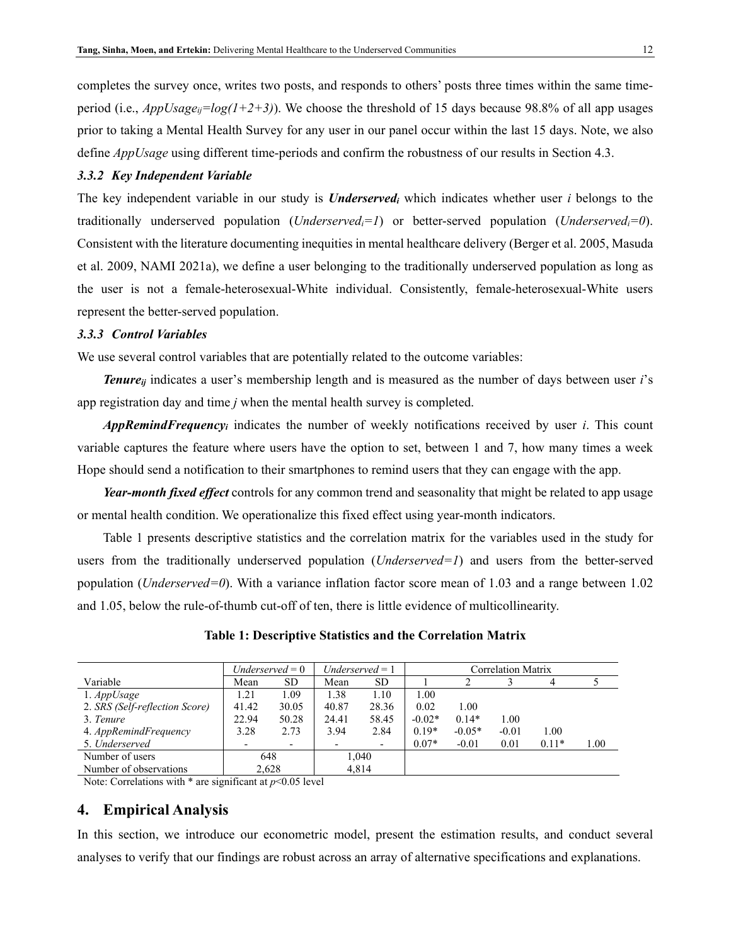completes the survey once, writes two posts, and responds to others' posts three times within the same timeperiod (i.e.,  $AppUsage_{ii}=log(1+2+3)$ ). We choose the threshold of 15 days because 98.8% of all app usages prior to taking a Mental Health Survey for any user in our panel occur within the last 15 days. Note, we also define *AppUsage* using different time-periods and confirm the robustness of our results in Section 4.3.

#### *3.3.2 Key Independent Variable*

The key independent variable in our study is *Underservedi* which indicates whether user *i* belongs to the traditionally underserved population (*Underservedi=1*) or better-served population (*Underservedi=0*). Consistent with the literature documenting inequities in mental healthcare delivery (Berger et al. 2005, Masuda et al. 2009, NAMI 2021a), we define a user belonging to the traditionally underserved population as long as the user is not a female-heterosexual-White individual. Consistently, female-heterosexual-White users represent the better-served population.

#### *3.3.3 Control Variables*

We use several control variables that are potentially related to the outcome variables:

*Tenureij* indicates a user's membership length and is measured as the number of days between user *i*'s app registration day and time *j* when the mental health survey is completed.

*AppRemindFrequencyi* indicates the number of weekly notifications received by user *i*. This count variable captures the feature where users have the option to set, between 1 and 7, how many times a week Hope should send a notification to their smartphones to remind users that they can engage with the app.

*Year-month fixed effect* controls for any common trend and seasonality that might be related to app usage or mental health condition. We operationalize this fixed effect using year-month indicators.

[Table 1](#page-11-0) presents descriptive statistics and the correlation matrix for the variables used in the study for users from the traditionally underserved population (*Underserved=1*) and users from the better-served population (*Underserved=0*). With a variance inflation factor score mean of 1.03 and a range between 1.02 and 1.05, below the rule-of-thumb cut-off of ten, there is little evidence of multicollinearity.

<span id="page-11-0"></span>

|                                | Underserved $= 0$ |                          | $Underserved = 1$ |       | <b>Correlation Matrix</b> |          |         |         |          |
|--------------------------------|-------------------|--------------------------|-------------------|-------|---------------------------|----------|---------|---------|----------|
| Variable                       | Mean              | SD.                      | Mean              | SD.   |                           |          |         |         |          |
| $1.$ <i>AppUsage</i>           | 1.21              | 1.09                     | 1.38              | 1.10  | 1.00                      |          |         |         |          |
| 2. SRS (Self-reflection Score) | 41.42             | 30.05                    | 40.87             | 28.36 | 0.02                      | 1.00     |         |         |          |
| 3. Tenure                      | 22.94             | 50.28                    | 24.41             | 58.45 | $-0.02*$                  | $0.14*$  | 1.00    |         |          |
| 4. AppRemindFrequency          | 3.28              | 2.73                     | 3.94              | 2.84  | $0.19*$                   | $-0.05*$ | $-0.01$ | 1.00    |          |
| 5. Underserved                 |                   | $\overline{\phantom{0}}$ |                   |       | $0.07*$                   | $-0.01$  | 0.01    | $0.11*$ | $1.00\,$ |
| Number of users                | 648               |                          |                   | 1,040 |                           |          |         |         |          |
| Number of observations         | 2,628             |                          | 4.814             |       |                           |          |         |         |          |

#### **Table 1: Descriptive Statistics and the Correlation Matrix**

Note: Correlations with  $*$  are significant at  $p$ <0.05 level

## **4. Empirical Analysis**

In this section, we introduce our econometric model, present the estimation results, and conduct several analyses to verify that our findings are robust across an array of alternative specifications and explanations.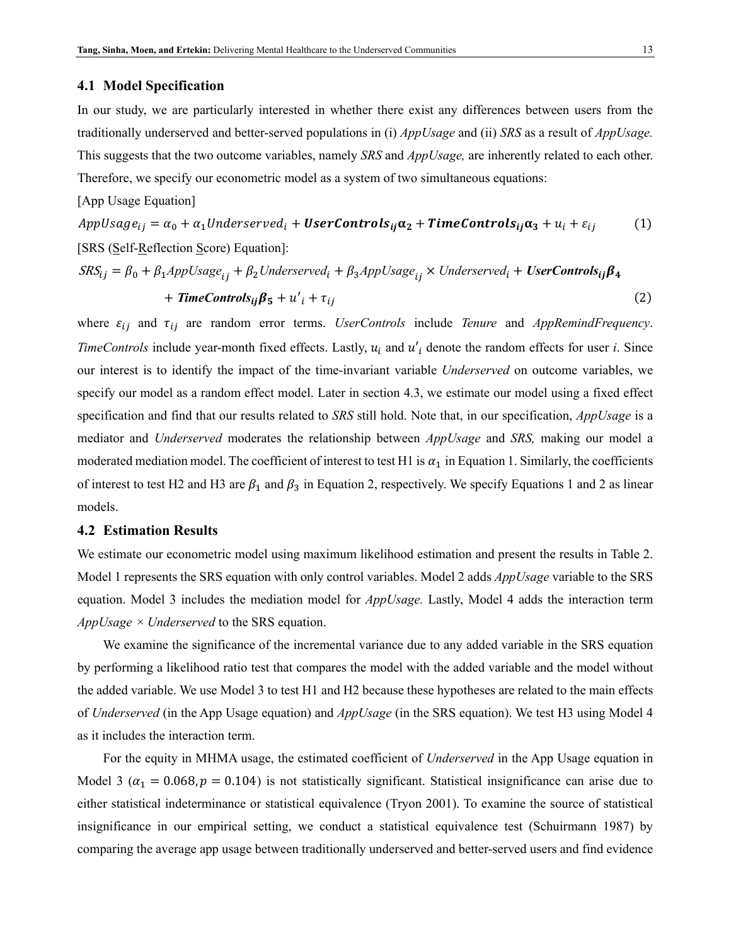#### **4.1 Model Specification**

In our study, we are particularly interested in whether there exist any differences between users from the traditionally underserved and better-served populations in (i) *AppUsage* and (ii) *SRS* as a result of *AppUsage.*  This suggests that the two outcome variables, namely *SRS* and *AppUsage,* are inherently related to each other. Therefore, we specify our econometric model as a system of two simultaneous equations:

#### [App Usage Equation]

 $AppUsage_{ij} = \alpha_0 + \alpha_1 Underserved_i + UserContents_{ij}\alpha_2 + TimeContents_{ij}\alpha_3 + u_i + \varepsilon_{ij}$  (1) [SRS (Self-Reflection Score) Equation]:

$$
SRS_{ij} = \beta_0 + \beta_1 AppUsage_{ij} + \beta_2 Underserved_i + \beta_3 AppUsage_{ij} \times Underserved_i + UserContents_{ij}\beta_4
$$
  
+ **TimeControls<sub>ij</sub>**\beta\_5 + u'<sub>i</sub> + \tau<sub>ij</sub> (2)

where  $\varepsilon_{ij}$  and  $\tau_{ij}$  are random error terms. *UserControls* include *Tenure* and *AppRemindFrequency*. *TimeControls* include year-month fixed effects. Lastly,  $u_i$  and  $u'_i$  denote the random effects for user *i*. Since our interest is to identify the impact of the time-invariant variable *Underserved* on outcome variables, we specify our model as a random effect model. Later in section 4.3, we estimate our model using a fixed effect specification and find that our results related to *SRS* still hold. Note that, in our specification, *AppUsage* is a mediator and *Underserved* moderates the relationship between *AppUsage* and *SRS,* making our model a moderated mediation model. The coefficient of interest to test H1 is  $\alpha_1$  in Equation 1. Similarly, the coefficients of interest to test H2 and H3 are  $\beta_1$  and  $\beta_3$  in Equation 2, respectively. We specify Equations 1 and 2 as linear models.

### **4.2 Estimation Results**

We estimate our econometric model using maximum likelihood estimation and present the results in [Table 2.](#page-13-0) Model 1 represents the SRS equation with only control variables. Model 2 adds *AppUsage* variable to the SRS equation. Model 3 includes the mediation model for *AppUsage.* Lastly, Model 4 adds the interaction term *AppUsage × Underserved* to the SRS equation.

We examine the significance of the incremental variance due to any added variable in the SRS equation by performing a likelihood ratio test that compares the model with the added variable and the model without the added variable. We use Model 3 to test H1 and H2 because these hypotheses are related to the main effects of *Underserved* (in the App Usage equation) and *AppUsage* (in the SRS equation). We test H3 using Model 4 as it includes the interaction term.

For the equity in MHMA usage, the estimated coefficient of *Underserved* in the App Usage equation in Model 3 ( $\alpha_1 = 0.068$ ,  $p = 0.104$ ) is not statistically significant. Statistical insignificance can arise due to either statistical indeterminance or statistical equivalence (Tryon 2001). To examine the source of statistical insignificance in our empirical setting, we conduct a statistical equivalence test (Schuirmann 1987) by comparing the average app usage between traditionally underserved and better-served users and find evidence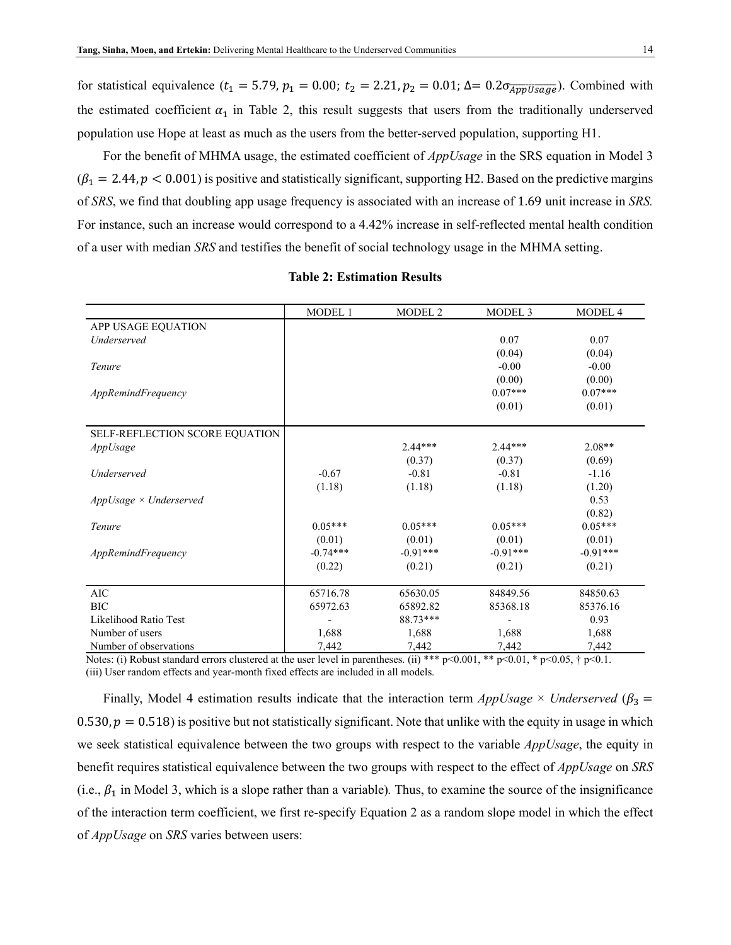for statistical equivalence ( $t_1 = 5.79$ ,  $p_1 = 0.00$ ;  $t_2 = 2.21$ ,  $p_2 = 0.01$ ;  $\Delta = 0.2 \sigma_{\overline{AppUsage}}$ ). Combined with the estimated coefficient  $\alpha_1$  in [Table 2,](#page-13-0) this result suggests that users from the traditionally underserved population use Hope at least as much as the users from the better-served population, supporting H1.

For the benefit of MHMA usage, the estimated coefficient of *AppUsage* in the SRS equation in Model 3  $(\beta_1 = 2.44, p < 0.001)$  is positive and statistically significant, supporting H2. Based on the predictive margins of *SRS*, we find that doubling app usage frequency is associated with an increase of 1.69 unit increase in *SRS.*  For instance, such an increase would correspond to a 4.42% increase in self-reflected mental health condition of a user with median *SRS* and testifies the benefit of social technology usage in the MHMA setting.

<span id="page-13-0"></span>

|                                | MODEL 1    | <b>MODEL 2</b> | MODEL <sub>3</sub> | MODEL 4    |
|--------------------------------|------------|----------------|--------------------|------------|
| APP USAGE EQUATION             |            |                |                    |            |
| Underserved                    |            |                | 0.07               | 0.07       |
|                                |            |                | (0.04)             | (0.04)     |
| Tenure                         |            |                | $-0.00$            | $-0.00$    |
|                                |            |                | (0.00)             | (0.00)     |
| AppRemindFrequency             |            |                | $0.07***$          | $0.07***$  |
|                                |            |                | (0.01)             | (0.01)     |
| SELF-REFLECTION SCORE EQUATION |            |                |                    |            |
| AppUsage                       |            | $2.44***$      | $2.44***$          | $2.08**$   |
|                                |            | (0.37)         | (0.37)             | (0.69)     |
| Underserved                    | $-0.67$    | $-0.81$        | $-0.81$            | $-1.16$    |
|                                | (1.18)     | (1.18)         | (1.18)             | (1.20)     |
| $AppUsage \times Underserved$  |            |                |                    | 0.53       |
|                                |            |                |                    | (0.82)     |
| Tenure                         | $0.05***$  | $0.05***$      | $0.05***$          | $0.05***$  |
|                                | (0.01)     | (0.01)         | (0.01)             | (0.01)     |
| AppRemindFrequency             | $-0.74***$ | $-0.91***$     | $-0.91***$         | $-0.91***$ |
|                                | (0.22)     | (0.21)         | (0.21)             | (0.21)     |
| <b>AIC</b>                     | 65716.78   | 65630.05       | 84849.56           | 84850.63   |
| <b>BIC</b>                     | 65972.63   | 65892.82       | 85368.18           | 85376.16   |
| Likelihood Ratio Test          |            | 88.73***       |                    | 0.93       |
| Number of users                | 1,688      | 1,688          | 1,688              | 1,688      |
| Number of observations         | 7,442      | 7,442          | 7,442              | 7,442      |

#### **Table 2: Estimation Results**

Notes: (i) Robust standard errors clustered at the user level in parentheses. (ii) \*\*\* p<0.001, \*\* p<0.01, \* p<0.05, † p<0.1. (iii) User random effects and year-month fixed effects are included in all models.

Finally, Model 4 estimation results indicate that the interaction term  $AppUsage \times Underserved$  ( $\beta_3$  = 0.530,  $p = 0.518$ ) is positive but not statistically significant. Note that unlike with the equity in usage in which we seek statistical equivalence between the two groups with respect to the variable *AppUsage*, the equity in benefit requires statistical equivalence between the two groups with respect to the effect of *AppUsage* on *SRS*  (i.e.,  $\beta_1$  in Model 3, which is a slope rather than a variable). Thus, to examine the source of the insignificance of the interaction term coefficient, we first re-specify Equation 2 as a random slope model in which the effect of *AppUsage* on *SRS* varies between users: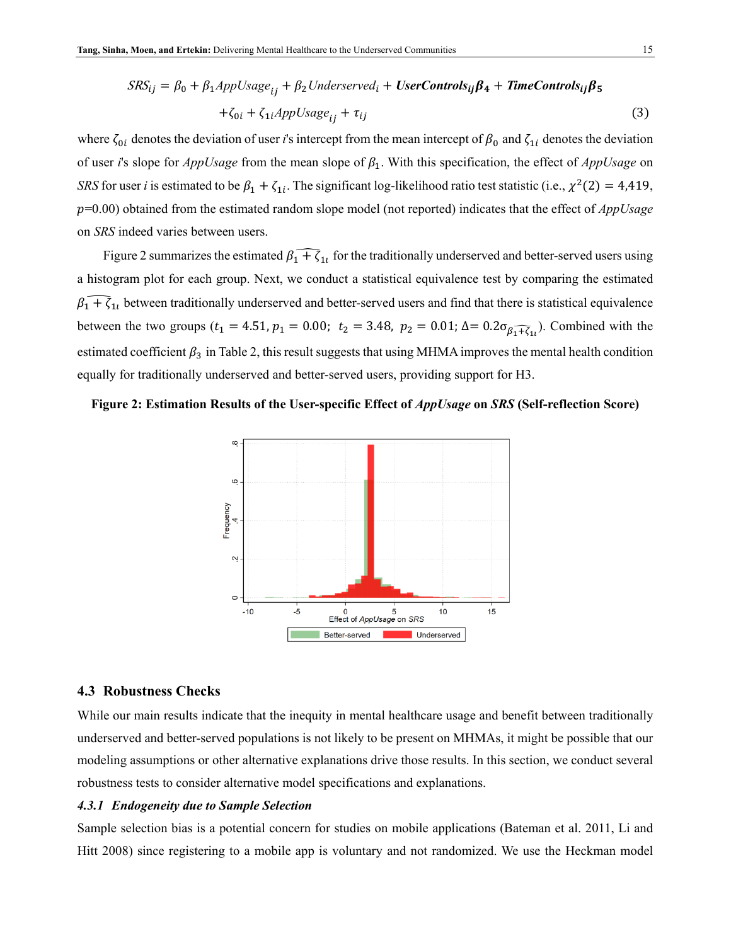$$
SRS_{ij} = \beta_0 + \beta_1 AppUsage_{ij} + \beta_2 Understand_i + UserControls_{ij}\beta_4 + TimeControls_{ij}\beta_5
$$

$$
+ \zeta_{0i} + \zeta_{1i} AppUsage_{ij} + \tau_{ij}
$$
(3)

where  $\zeta_{0i}$  denotes the deviation of user *i*'s intercept from the mean intercept of  $\beta_0$  and  $\zeta_{1i}$  denotes the deviation of user *i*'s slope for  $AppUsage$  from the mean slope of  $\beta_1$ . With this specification, the effect of  $AppUsage$  on *SRS* for user *i* is estimated to be  $\beta_1 + \zeta_{1i}$ . The significant log-likelihood ratio test statistic (i.e.,  $\chi^2(2) = 4,419$ , =0.00) obtained from the estimated random slope model (not reported) indicates that the effect of *AppUsage* on *SRS* indeed varies between users.

[Figure 2](#page-14-0) summarizes the estimated  $\beta_1 + \zeta_{1l}$  for the traditionally underserved and better-served users using a histogram plot for each group. Next, we conduct a statistical equivalence test by comparing the estimated  $\beta_1 + \zeta_{1l}$  between traditionally underserved and better-served users and find that there is statistical equivalence between the two groups ( $t_1 = 4.51$ ,  $p_1 = 0.00$ ;  $t_2 = 3.48$ ,  $p_2 = 0.01$ ;  $\Delta = 0.2\sigma_{\beta_1 + \overline{\zeta}_{11}}$ ). Combined with the estimated coefficient  $\beta_3$  i[n Table 2,](#page-13-0) this result suggests that using MHMA improves the mental health condition equally for traditionally underserved and better-served users, providing support for H3.

<span id="page-14-0"></span>



#### **4.3 Robustness Checks**

While our main results indicate that the inequity in mental healthcare usage and benefit between traditionally underserved and better-served populations is not likely to be present on MHMAs, it might be possible that our modeling assumptions or other alternative explanations drive those results. In this section, we conduct several robustness tests to consider alternative model specifications and explanations.

#### *4.3.1 Endogeneity due to Sample Selection*

Sample selection bias is a potential concern for studies on mobile applications (Bateman et al. 2011, Li and Hitt 2008) since registering to a mobile app is voluntary and not randomized. We use the Heckman model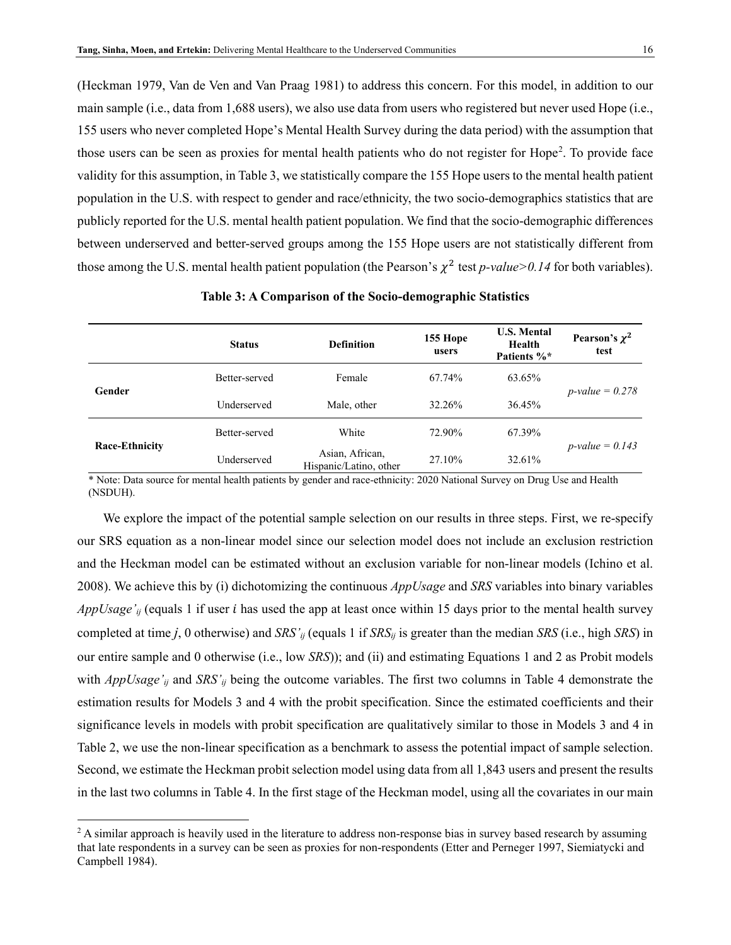(Heckman 1979, Van de Ven and Van Praag 1981) to address this concern. For this model, in addition to our main sample (i.e., data from 1,688 users), we also use data from users who registered but never used Hope (i.e., 155 users who never completed Hope's Mental Health Survey during the data period) with the assumption that those users can be seen as proxies for mental health patients who do not register for Hope<sup>[2](#page-16-1)</sup>. To provide face validity for this assumption, i[n Table 3,](#page-15-0) we statistically compare the 155 Hope users to the mental health patient population in the U.S. with respect to gender and race/ethnicity, the two socio-demographics statistics that are publicly reported for the U.S. mental health patient population. We find that the socio-demographic differences between underserved and better-served groups among the 155 Hope users are not statistically different from those among the U.S. mental health patient population (the Pearson's  $\chi^2$  test *p-value>0.14* for both variables).

<span id="page-15-0"></span>

|                       | <b>Status</b> | <b>Definition</b>                         | 155 Hope<br>users | <b>U.S. Mental</b><br>Health<br>Patients %* | Pearson's $\chi^2$<br>test |  |
|-----------------------|---------------|-------------------------------------------|-------------------|---------------------------------------------|----------------------------|--|
| Gender                | Better-served | Female                                    | 67.74%            | 63.65%                                      |                            |  |
|                       | Underserved   | Male, other                               | 32.26%            | 36.45%                                      | <i>p</i> -value = $0.278$  |  |
| <b>Race-Ethnicity</b> | Better-served | White                                     | 72.90%            | 67.39%                                      |                            |  |
|                       | Underserved   | Asian, African,<br>Hispanic/Latino, other |                   | 32.61%                                      | $p$ -value = 0.143         |  |

**Table 3: A Comparison of the Socio-demographic Statistics** 

\* Note: Data source for mental health patients by gender and race-ethnicity: 2020 National Survey on Drug Use and Health (NSDUH).

We explore the impact of the potential sample selection on our results in three steps. First, we re-specify our SRS equation as a non-linear model since our selection model does not include an exclusion restriction and the Heckman model can be estimated without an exclusion variable for non-linear models (Ichino et al. 2008). We achieve this by (i) dichotomizing the continuous *AppUsage* and *SRS* variables into binary variables *AppUsage'<sub>ij</sub>* (equals 1 if user *i* has used the app at least once within 15 days prior to the mental health survey completed at time *j*, 0 otherwise) and *SRS'ij* (equals 1 if *SRSij* is greater than the median *SRS* (i.e., high *SRS*) in our entire sample and 0 otherwise (i.e., low *SRS*)); and (ii) and estimating Equations 1 and 2 as Probit models with *AppUsage'<sub>ij</sub>* and *SRS'<sub>ij</sub>* being the outcome variables. The first two columns in [Table 4](#page-16-0) demonstrate the estimation results for Models 3 and 4 with the probit specification. Since the estimated coefficients and their significance levels in models with probit specification are qualitatively similar to those in Models 3 and 4 in [Table 2,](#page-13-0) we use the non-linear specification as a benchmark to assess the potential impact of sample selection. Second, we estimate the Heckman probit selection model using data from all 1,843 users and present the results in the last two columns in [Table 4.](#page-16-0) In the first stage of the Heckman model, using all the covariates in our main

 $\overline{a}$ 

<sup>&</sup>lt;sup>2</sup> A similar approach is heavily used in the literature to address non-response bias in survey based research by assuming that late respondents in a survey can be seen as proxies for non-respondents (Etter and Perneger 1997, Siemiatycki and Campbell 1984).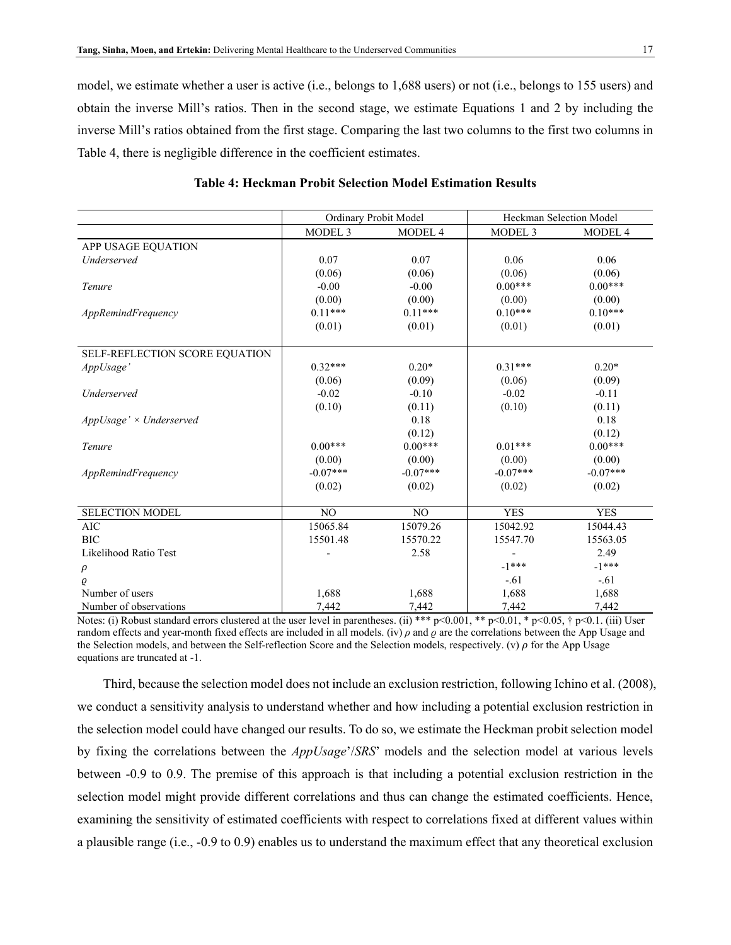model, we estimate whether a user is active (i.e., belongs to 1,688 users) or not (i.e., belongs to 155 users) and obtain the inverse Mill's ratios. Then in the second stage, we estimate Equations 1 and 2 by including the inverse Mill's ratios obtained from the first stage. Comparing the last two columns to the first two columns in [Table 4,](#page-16-0) there is negligible difference in the coefficient estimates.

<span id="page-16-0"></span>

|                                |                    | Ordinary Probit Model | Heckman Selection Model |            |
|--------------------------------|--------------------|-----------------------|-------------------------|------------|
|                                | MODEL <sub>3</sub> | MODEL 4               | MODEL <sub>3</sub>      | MODEL 4    |
| APP USAGE EQUATION             |                    |                       |                         |            |
| Underserved                    | 0.07               | 0.07                  | 0.06                    | 0.06       |
|                                | (0.06)             | (0.06)                | (0.06)                  | (0.06)     |
| Tenure                         | $-0.00$            | $-0.00$               | $0.00***$               | $0.00***$  |
|                                | (0.00)             | (0.00)                | (0.00)                  | (0.00)     |
| AppRemindFrequency             | $0.11***$          | $0.11***$             | $0.10***$               | $0.10***$  |
|                                | (0.01)             | (0.01)                | (0.01)                  | (0.01)     |
|                                |                    |                       |                         |            |
| SELF-REFLECTION SCORE EQUATION |                    |                       |                         |            |
| AppUsage'                      | $0.32***$          | $0.20*$               | $0.31***$               | $0.20*$    |
|                                | (0.06)             | (0.09)                | (0.06)                  | (0.09)     |
| Underserved                    | $-0.02$            | $-0.10$               | $-0.02$                 | $-0.11$    |
|                                | (0.10)             | (0.11)                | (0.10)                  | (0.11)     |
| $AppUsage' \times Underserved$ |                    | 0.18                  |                         | 0.18       |
|                                |                    | (0.12)                |                         | (0.12)     |
| Tenure                         | $0.00***$          | $0.00***$             | $0.01***$               | $0.00***$  |
|                                | (0.00)             | (0.00)                | (0.00)                  | (0.00)     |
| AppRemindFrequency             | $-0.07***$         | $-0.07***$            | $-0.07***$              | $-0.07***$ |
|                                | (0.02)             | (0.02)                | (0.02)                  | (0.02)     |
|                                |                    |                       |                         |            |
| <b>SELECTION MODEL</b>         | N <sub>O</sub>     | N <sub>O</sub>        | <b>YES</b>              | <b>YES</b> |
| <b>AIC</b>                     | 15065.84           | 15079.26              | 15042.92                | 15044.43   |
| <b>BIC</b>                     | 15501.48           | 15570.22              | 15547.70                | 15563.05   |
| Likelihood Ratio Test          |                    | 2.58                  |                         | 2.49       |
| $\rho$                         |                    |                       | $-1***$                 | $-1***$    |
| ρ                              |                    |                       | $-.61$                  | $-.61$     |
| Number of users                | 1,688              | 1,688                 | 1,688                   | 1,688      |
| Number of observations         | 7,442              | 7,442                 | 7,442                   | 7,442      |

| <b>Table 4: Heckman Probit Selection Model Estimation Results</b> |
|-------------------------------------------------------------------|
|-------------------------------------------------------------------|

Notes: (i) Robust standard errors clustered at the user level in parentheses. (ii) \*\*\* p<0.001, \*\* p<0.01, \* p<0.05, † p<0.1. (iii) User random effects and year-month fixed effects are included in all models. (iv) *ρ* and *ϱ* are the correlations between the App Usage and the Selection models, and between the Self-reflection Score and the Selection models, respectively. (v)  $\rho$  for the App Usage equations are truncated at -1.

<span id="page-16-1"></span>Third, because the selection model does not include an exclusion restriction, following Ichino et al. (2008), we conduct a sensitivity analysis to understand whether and how including a potential exclusion restriction in the selection model could have changed our results. To do so, we estimate the Heckman probit selection model by fixing the correlations between the *AppUsage*'/*SRS*' models and the selection model at various levels between -0.9 to 0.9. The premise of this approach is that including a potential exclusion restriction in the selection model might provide different correlations and thus can change the estimated coefficients. Hence, examining the sensitivity of estimated coefficients with respect to correlations fixed at different values within a plausible range (i.e., -0.9 to 0.9) enables us to understand the maximum effect that any theoretical exclusion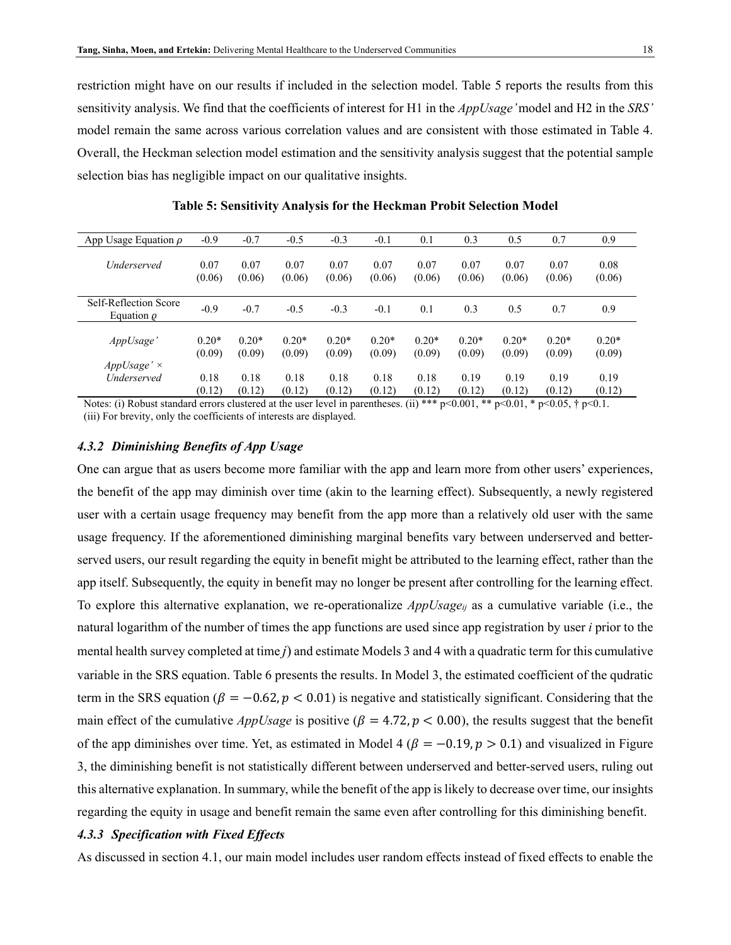restriction might have on our results if included in the selection model. [Table 5](#page-17-0) reports the results from this sensitivity analysis. We find that the coefficients of interest for H1 in the *AppUsage'* model and H2 in the *SRS'* model remain the same across various correlation values and are consistent with those estimated in [Table 4.](#page-16-0) Overall, the Heckman selection model estimation and the sensitivity analysis suggest that the potential sample selection bias has negligible impact on our qualitative insights.

<span id="page-17-0"></span>

| App Usage Equation $\rho$                | $-0.9$  | $-0.7$  | $-0.5$  | $-0.3$  | $-0.1$  | 0.1     | 0.3     | 0.5     | 0.7     | 0.9     |
|------------------------------------------|---------|---------|---------|---------|---------|---------|---------|---------|---------|---------|
| <i>Underserved</i>                       | 0.07    | 0.07    | 0.07    | 0.07    | 0.07    | 0.07    | 0.07    | 0.07    | 0.07    | 0.08    |
|                                          | (0.06)  | (0.06)  | (0.06)  | (0.06)  | (0.06)  | (0.06)  | (0.06)  | (0.06)  | (0.06)  | (0.06)  |
| Self-Reflection Score<br>Equation $\rho$ | $-0.9$  | $-0.7$  | $-0.5$  | $-0.3$  | $-0.1$  | 0.1     | 0.3     | 0.5     | 0.7     | 0.9     |
| AppUsage'                                | $0.20*$ | $0.20*$ | $0.20*$ | $0.20*$ | $0.20*$ | $0.20*$ | $0.20*$ | $0.20*$ | $0.20*$ | $0.20*$ |
|                                          | (0.09)  | (0.09)  | (0.09)  | (0.09)  | (0.09)  | (0.09)  | (0.09)  | (0.09)  | (0.09)  | (0.09)  |
| $AppUsage' \times$                       | 0.18    | 0.18    | 0.18    | 0.18    | 0.18    | 0.18    | 0.19    | 0.19    | 0.19    | 0.19    |
| <i><u><b>Underserved</b></u></i>         | (0.12)  | (0.12)  | (0.12)  | (0.12)  | (0.12)  | (0.12)  | (0.12)  | (0.12)  | (0.12)  | (0.12)  |

**Table 5: Sensitivity Analysis for the Heckman Probit Selection Model**

Notes: (i) Robust standard errors clustered at the user level in parentheses. (ii) \*\*\*  $p<0.001$ , \*\*  $p<0.01$ , \*  $p<0.05$ , †  $p<0.1$ . (iii) For brevity, only the coefficients of interests are displayed.

#### *4.3.2 Diminishing Benefits of App Usage*

One can argue that as users become more familiar with the app and learn more from other users' experiences, the benefit of the app may diminish over time (akin to the learning effect). Subsequently, a newly registered user with a certain usage frequency may benefit from the app more than a relatively old user with the same usage frequency. If the aforementioned diminishing marginal benefits vary between underserved and betterserved users, our result regarding the equity in benefit might be attributed to the learning effect, rather than the app itself. Subsequently, the equity in benefit may no longer be present after controlling for the learning effect. To explore this alternative explanation, we re-operationalize *AppUsageij* as a cumulative variable (i.e., the natural logarithm of the number of times the app functions are used since app registration by user *i* prior to the mental health survey completed at time *j*) and estimate Models 3 and 4 with a quadratic term for this cumulative variable in the SRS equation. [Table 6](#page-18-0) presents the results. In Model 3, the estimated coefficient of the qudratic term in the SRS equation ( $\beta = -0.62$ ,  $p < 0.01$ ) is negative and statistically significant. Considering that the main effect of the cumulative *AppUsage* is positive  $(\beta = 4.72, p < 0.00)$ , the results suggest that the benefit of the app diminishes over time. Yet, as estimated in Model 4 ( $\beta = -0.19$ ,  $p > 0.1$ ) and visualized in Figure [3,](#page-18-1) the diminishing benefit is not statistically different between underserved and better-served users, ruling out this alternative explanation. In summary, while the benefit of the app is likely to decrease over time, our insights regarding the equity in usage and benefit remain the same even after controlling for this diminishing benefit.

#### *4.3.3 Specification with Fixed Effects*

As discussed in section 4.1, our main model includes user random effects instead of fixed effects to enable the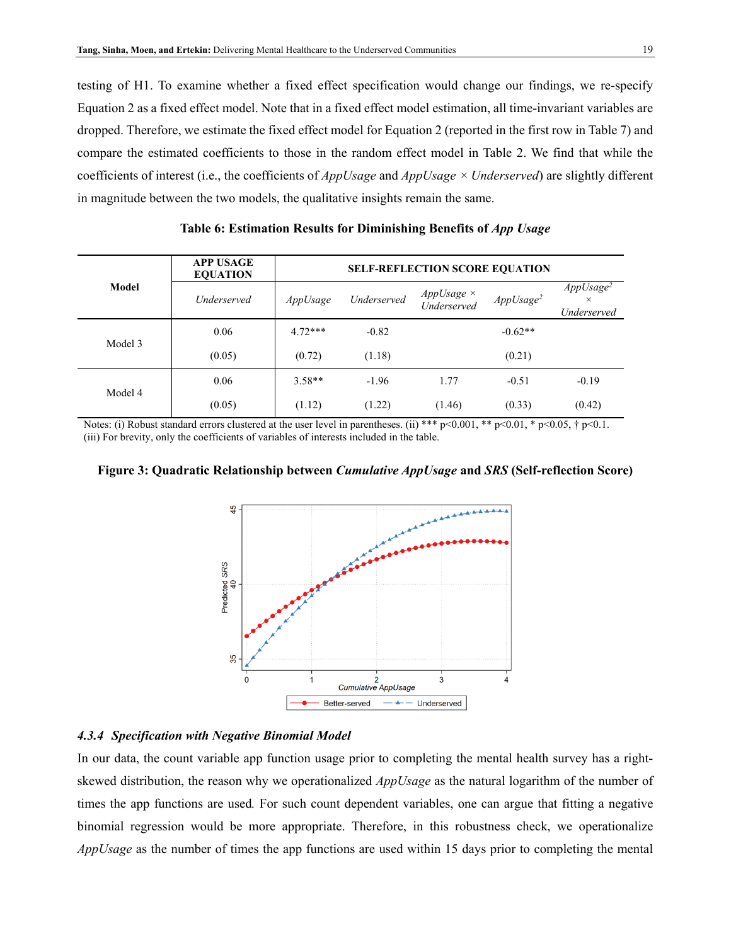testing of H1. To examine whether a fixed effect specification would change our findings, we re-specify Equation 2 as a fixed effect model. Note that in a fixed effect model estimation, all time-invariant variables are dropped. Therefore, we estimate the fixed effect model for Equation 2 (reported in the first row in [Table 7\)](#page-19-0) and compare the estimated coefficients to those in the random effect model in [Table 2.](#page-13-0) We find that while the coefficients of interest (i.e., the coefficients of *AppUsage* and *AppUsage × Underserved*) are slightly different in magnitude between the two models, the qualitative insights remain the same.

<span id="page-18-0"></span>

|         | <b>APP USAGE</b><br><b>EQUATION</b> | <b>SELF-REFLECTION SCORE EQUATION</b> |             |                           |                       |                                                  |  |  |  |
|---------|-------------------------------------|---------------------------------------|-------------|---------------------------|-----------------------|--------------------------------------------------|--|--|--|
| Model   | <i>Underserved</i>                  | AppUsage                              | Underserved | AppUsage ×<br>Underserved | AppUsage <sup>2</sup> | AppUsage <sup>2</sup><br>$\times$<br>Underserved |  |  |  |
|         | 0.06                                | $4.72***$                             | $-0.82$     |                           | $-0.62**$             |                                                  |  |  |  |
| Model 3 | (0.05)                              | (0.72)                                | (1.18)      |                           | (0.21)                |                                                  |  |  |  |
|         | 0.06                                | $3.58**$                              | $-1.96$     | 1.77                      | $-0.51$               | $-0.19$                                          |  |  |  |
| Model 4 | (0.05)                              | (1.12)                                | (1.22)      | (1.46)                    | (0.33)                | (0.42)                                           |  |  |  |

Table 6: Estimation Results for Diminishing Benefits of *App Usage* 

Notes: (i) Robust standard errors clustered at the user level in parentheses. (ii) \*\*\*  $p<0.001$ , \*\*  $p<0.01$ , \*  $p<0.05$ , †  $p<0.1$ . (iii) For brevity, only the coefficients of variables of interests included in the table.

<span id="page-18-1"></span>



#### *4.3.4 Specification with Negative Binomial Model*

In our data, the count variable app function usage prior to completing the mental health survey has a rightskewed distribution, the reason why we operationalized *AppUsage* as the natural logarithm of the number of times the app functions are used*.* For such count dependent variables, one can argue that fitting a negative binomial regression would be more appropriate. Therefore, in this robustness check, we operationalize *AppUsage* as the number of times the app functions are used within 15 days prior to completing the mental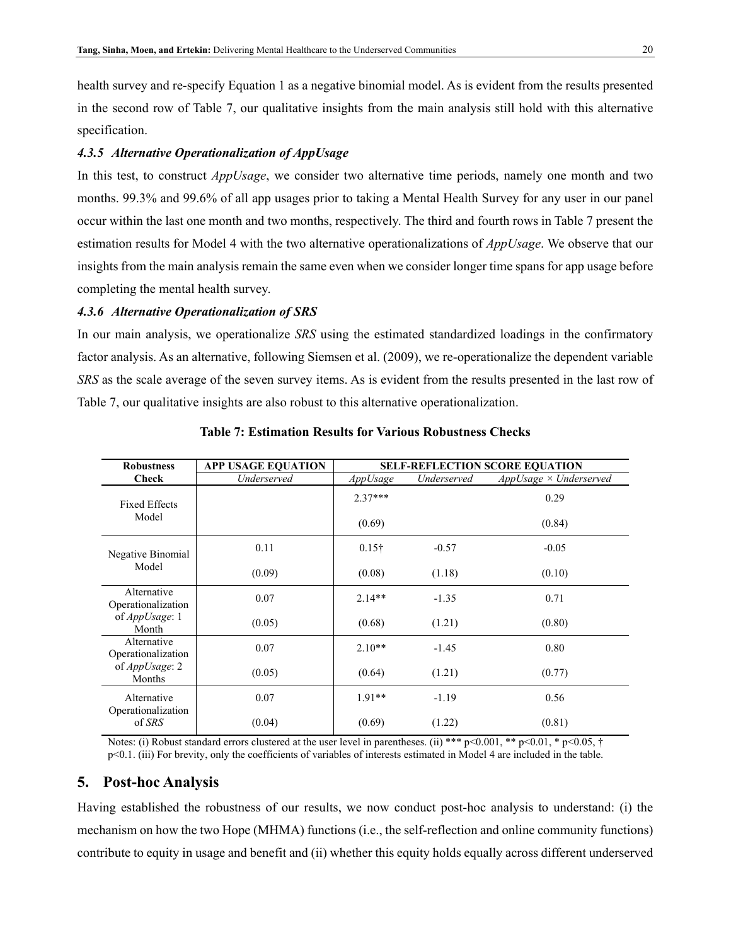health survey and re-specify Equation 1 as a negative binomial model. As is evident from the results presented in the second row of [Table 7,](#page-19-0) our qualitative insights from the main analysis still hold with this alternative specification.

#### *4.3.5 Alternative Operationalization of AppUsage*

In this test, to construct *AppUsage*, we consider two alternative time periods, namely one month and two months. 99.3% and 99.6% of all app usages prior to taking a Mental Health Survey for any user in our panel occur within the last one month and two months, respectively. The third and fourth rows i[n Table 7](#page-19-0) present the estimation results for Model 4 with the two alternative operationalizations of *AppUsage*. We observe that our insights from the main analysis remain the same even when we consider longer time spans for app usage before completing the mental health survey.

#### *4.3.6 Alternative Operationalization of SRS*

In our main analysis, we operationalize *SRS* using the estimated standardized loadings in the confirmatory factor analysis. As an alternative, following Siemsen et al. (2009), we re-operationalize the dependent variable *SRS* as the scale average of the seven survey items. As is evident from the results presented in the last row of [Table 7,](#page-19-0) our qualitative insights are also robust to this alternative operationalization.

<span id="page-19-0"></span>

| <b>Robustness</b>                 | <b>APP USAGE EQUATION</b> | <b>SELF-REFLECTION SCORE EQUATION</b> |             |                              |  |  |  |
|-----------------------------------|---------------------------|---------------------------------------|-------------|------------------------------|--|--|--|
| <b>Check</b>                      | Underserved               | AppUsage                              | Underserved | $AppUsage \times Understand$ |  |  |  |
| <b>Fixed Effects</b>              |                           | $2.37***$                             |             | 0.29                         |  |  |  |
| Model                             |                           | (0.69)                                |             | (0.84)                       |  |  |  |
| Negative Binomial<br>Model        | 0.11                      | $0.15\dagger$                         | $-0.57$     | $-0.05$                      |  |  |  |
|                                   | (0.09)                    | (0.08)                                | (1.18)      | (0.10)                       |  |  |  |
| Alternative<br>Operationalization | 0.07                      | $2.14**$                              | $-1.35$     | 0.71                         |  |  |  |
| of AppUsage: 1<br>Month           | (0.05)                    | (0.68)                                | (1.21)      | (0.80)                       |  |  |  |
| Alternative<br>Operationalization | 0.07                      | $2.10**$                              | $-1.45$     | 0.80                         |  |  |  |
| of AppUsage: 2<br>Months          | (0.05)                    | (0.64)                                | (1.21)      | (0.77)                       |  |  |  |
| Alternative<br>Operationalization | 0.07                      | $1.91**$                              | $-1.19$     | 0.56                         |  |  |  |
| of SRS                            | (0.04)                    | (0.69)                                | (1.22)      | (0.81)                       |  |  |  |

**Table 7: Estimation Results for Various Robustness Checks**

Notes: (i) Robust standard errors clustered at the user level in parentheses. (ii) \*\*\* p<0.001, \*\* p<0.01, \* p<0.05, † p<0.1. (iii) For brevity, only the coefficients of variables of interests estimated in Model 4 are included in the table.

#### **5. Post-hoc Analysis**

Having established the robustness of our results, we now conduct post-hoc analysis to understand: (i) the mechanism on how the two Hope (MHMA) functions (i.e., the self-reflection and online community functions) contribute to equity in usage and benefit and (ii) whether this equity holds equally across different underserved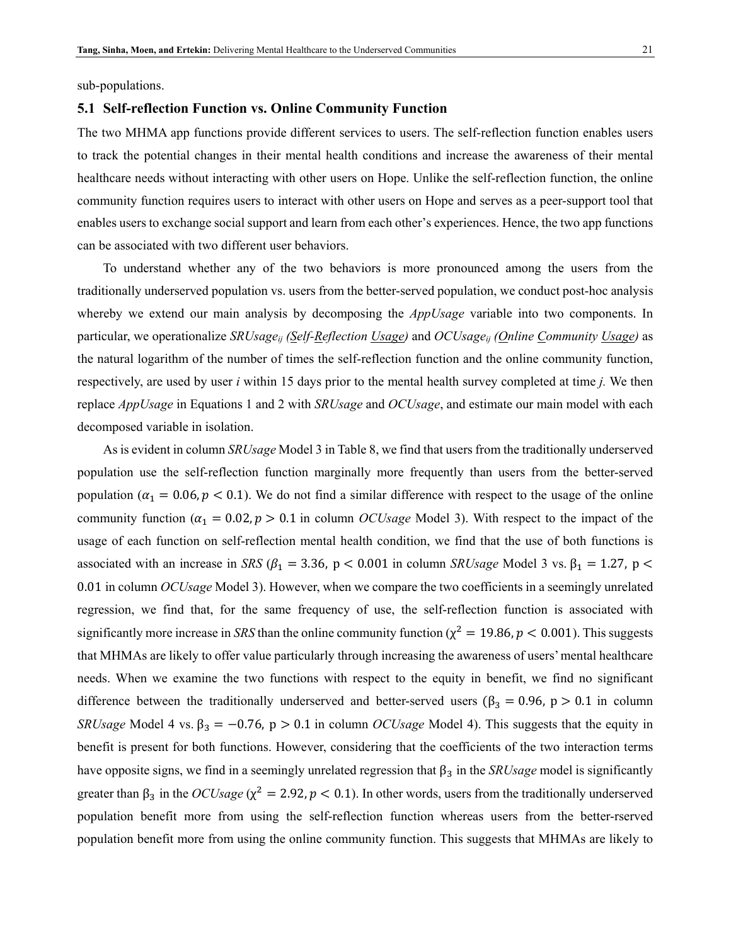#### **5.1 Self-reflection Function vs. Online Community Function**

The two MHMA app functions provide different services to users. The self-reflection function enables users to track the potential changes in their mental health conditions and increase the awareness of their mental healthcare needs without interacting with other users on Hope. Unlike the self-reflection function, the online community function requires users to interact with other users on Hope and serves as a peer-support tool that enables users to exchange social support and learn from each other's experiences. Hence, the two app functions can be associated with two different user behaviors.

To understand whether any of the two behaviors is more pronounced among the users from the traditionally underserved population vs. users from the better-served population, we conduct post-hoc analysis whereby we extend our main analysis by decomposing the *AppUsage* variable into two components. In particular, we operationalize *SRUsageij (Self-Reflection Usage)* and *OCUsageij (Online Community Usage)* as the natural logarithm of the number of times the self-reflection function and the online community function, respectively, are used by user *i* within 15 days prior to the mental health survey completed at time *j.* We then replace *AppUsage* in Equations 1 and 2 with *SRUsage* and *OCUsage*, and estimate our main model with each decomposed variable in isolation.

As is evident in column *SRUsage* Model 3 in [Table 8,](#page-21-0) we find that users from the traditionally underserved population use the self-reflection function marginally more frequently than users from the better-served population ( $\alpha_1 = 0.06$ ,  $p < 0.1$ ). We do not find a similar difference with respect to the usage of the online community function ( $\alpha_1 = 0.02$ ,  $p > 0.1$  in column *OCUsage* Model 3). With respect to the impact of the usage of each function on self-reflection mental health condition, we find that the use of both functions is associated with an increase in *SRS* ( $\beta_1 = 3.36$ , p < 0.001 in column *SRUsage* Model 3 vs.  $\beta_1 = 1.27$ , p < 0.01 in column *OCUsage* Model 3). However, when we compare the two coefficients in a seemingly unrelated regression, we find that, for the same frequency of use, the self-reflection function is associated with significantly more increase in *SRS* than the online community function ( $\chi^2 = 19.86$ ,  $p < 0.001$ ). This suggests that MHMAs are likely to offer value particularly through increasing the awareness of users' mental healthcare needs. When we examine the two functions with respect to the equity in benefit, we find no significant difference between the traditionally underserved and better-served users ( $\beta_3 = 0.96$ , p > 0.1 in column *SRUsage* Model 4 vs.  $\beta_3 = -0.76$ ,  $p > 0.1$  in column *OCUsage* Model 4). This suggests that the equity in benefit is present for both functions. However, considering that the coefficients of the two interaction terms have opposite signs, we find in a seemingly unrelated regression that  $\beta_3$  in the *SRUsage* model is significantly greater than  $\beta_3$  in the *OCUsage* ( $\chi^2 = 2.92$ ,  $p < 0.1$ ). In other words, users from the traditionally underserved population benefit more from using the self-reflection function whereas users from the better-rserved population benefit more from using the online community function. This suggests that MHMAs are likely to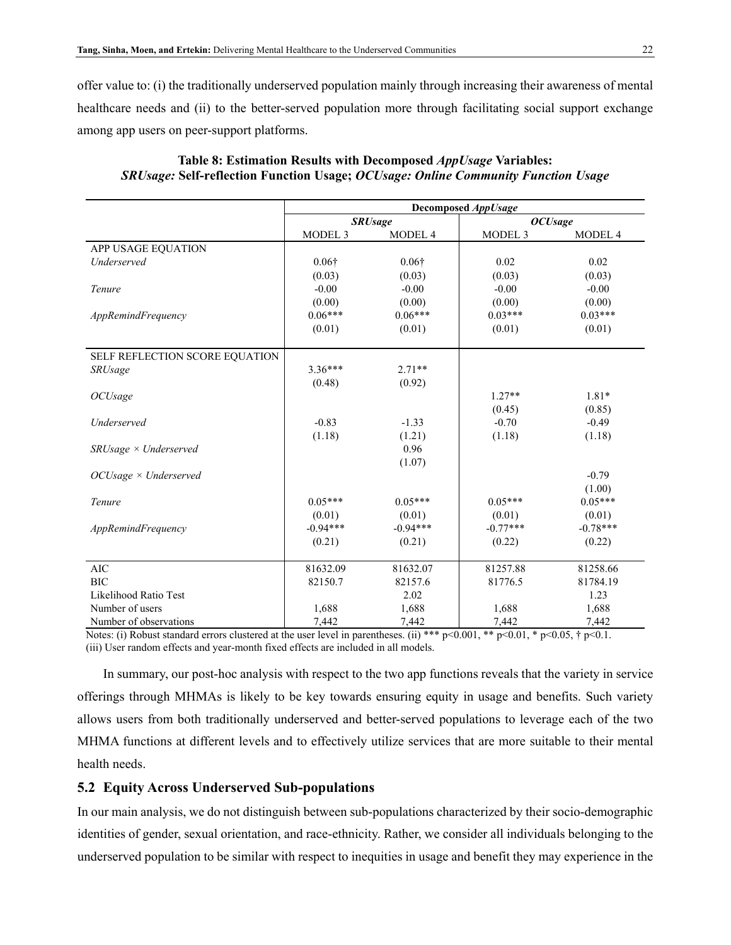offer value to: (i) the traditionally underserved population mainly through increasing their awareness of mental healthcare needs and (ii) to the better-served population more through facilitating social support exchange among app users on peer-support platforms.

|                                | Decomposed AppUsage |                |                |            |  |  |
|--------------------------------|---------------------|----------------|----------------|------------|--|--|
|                                |                     | <b>SRUsage</b> | <b>OCUsage</b> |            |  |  |
|                                | MODEL <sub>3</sub>  | MODEL 4        | MODEL 3        | MODEL 4    |  |  |
| APP USAGE EQUATION             |                     |                |                |            |  |  |
| Underserved                    | $0.06\dagger$       | $0.06\dagger$  | 0.02           | 0.02       |  |  |
|                                | (0.03)              | (0.03)         | (0.03)         | (0.03)     |  |  |
| Tenure                         | $-0.00$             | $-0.00$        | $-0.00$        | $-0.00$    |  |  |
|                                | (0.00)              | (0.00)         | (0.00)         | (0.00)     |  |  |
| AppRemindFrequency             | $0.06***$           | $0.06***$      | $0.03***$      | $0.03***$  |  |  |
|                                | (0.01)              | (0.01)         | (0.01)         | (0.01)     |  |  |
| SELF REFLECTION SCORE EQUATION |                     |                |                |            |  |  |
| <b>SRUsage</b>                 | $3.36***$           | $2.71**$       |                |            |  |  |
|                                | (0.48)              | (0.92)         |                |            |  |  |
| <i>OCUsage</i>                 |                     |                | $1.27**$       | $1.81*$    |  |  |
|                                |                     |                | (0.45)         | (0.85)     |  |  |
| Underserved                    | $-0.83$             | $-1.33$        | $-0.70$        | $-0.49$    |  |  |
|                                | (1.18)              | (1.21)         | (1.18)         | (1.18)     |  |  |
| $SRUsage \times Understand$    |                     | 0.96           |                |            |  |  |
|                                |                     | (1.07)         |                |            |  |  |
| $OCUsage \times Underserved$   |                     |                |                | $-0.79$    |  |  |
|                                |                     |                |                | (1.00)     |  |  |
| Tenure                         | $0.05***$           | $0.05***$      | $0.05***$      | $0.05***$  |  |  |
|                                | (0.01)              | (0.01)         | (0.01)         | (0.01)     |  |  |
| AppRemindFrequency             | $-0.94***$          | $-0.94***$     | $-0.77***$     | $-0.78***$ |  |  |
|                                | (0.21)              | (0.21)         | (0.22)         | (0.22)     |  |  |
| <b>AIC</b>                     | 81632.09            | 81632.07       | 81257.88       | 81258.66   |  |  |
| <b>BIC</b>                     | 82150.7             | 82157.6        | 81776.5        | 81784.19   |  |  |
| Likelihood Ratio Test          |                     | 2.02           |                | 1.23       |  |  |
| Number of users                | 1,688               | 1,688          | 1,688          | 1,688      |  |  |
| Number of observations         | 7,442               | 7,442          | 7,442          | 7,442      |  |  |

### <span id="page-21-0"></span>**Table 8: Estimation Results with Decomposed** *AppUsage* **Variables:**  *SRUsage:* **Self-reflection Function Usage;** *OCUsage: Online Community Function Usage*

Notes: (i) Robust standard errors clustered at the user level in parentheses. (ii) \*\*\* p<0.001, \*\* p<0.01, \* p<0.05, † p<0.1. (iii) User random effects and year-month fixed effects are included in all models.

In summary, our post-hoc analysis with respect to the two app functions reveals that the variety in service offerings through MHMAs is likely to be key towards ensuring equity in usage and benefits. Such variety allows users from both traditionally underserved and better-served populations to leverage each of the two MHMA functions at different levels and to effectively utilize services that are more suitable to their mental health needs.

#### **5.2 Equity Across Underserved Sub-populations**

In our main analysis, we do not distinguish between sub-populations characterized by their socio-demographic identities of gender, sexual orientation, and race-ethnicity. Rather, we consider all individuals belonging to the underserved population to be similar with respect to inequities in usage and benefit they may experience in the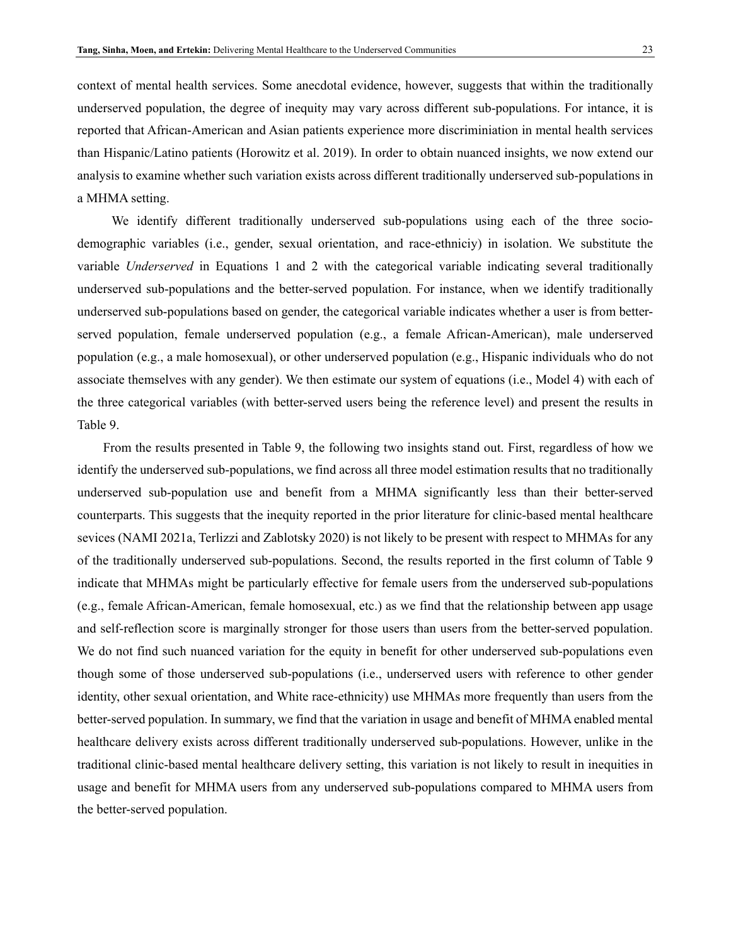context of mental health services. Some anecdotal evidence, however, suggests that within the traditionally underserved population, the degree of inequity may vary across different sub-populations. For intance, it is reported that African-American and Asian patients experience more discriminiation in mental health services than Hispanic/Latino patients (Horowitz et al. 2019). In order to obtain nuanced insights, we now extend our analysis to examine whether such variation exists across different traditionally underserved sub-populations in a MHMA setting.

We identify different traditionally underserved sub-populations using each of the three sociodemographic variables (i.e., gender, sexual orientation, and race-ethniciy) in isolation. We substitute the variable *Underserved* in Equations 1 and 2 with the categorical variable indicating several traditionally underserved sub-populations and the better-served population. For instance, when we identify traditionally underserved sub-populations based on gender, the categorical variable indicates whether a user is from betterserved population, female underserved population (e.g., a female African-American), male underserved population (e.g., a male homosexual), or other underserved population (e.g., Hispanic individuals who do not associate themselves with any gender). We then estimate our system of equations (i.e., Model 4) with each of the three categorical variables (with better-served users being the reference level) and present the results in [Table 9.](#page-23-0)

From the results presented in [Table 9,](#page-23-0) the following two insights stand out. First, regardless of how we identify the underserved sub-populations, we find across all three model estimation results that no traditionally underserved sub-population use and benefit from a MHMA significantly less than their better-served counterparts. This suggests that the inequity reported in the prior literature for clinic-based mental healthcare sevices (NAMI 2021a, Terlizzi and Zablotsky 2020) is not likely to be present with respect to MHMAs for any of the traditionally underserved sub-populations. Second, the results reported in the first column of [Table 9](#page-23-0) indicate that MHMAs might be particularly effective for female users from the underserved sub-populations (e.g., female African-American, female homosexual, etc.) as we find that the relationship between app usage and self-reflection score is marginally stronger for those users than users from the better-served population. We do not find such nuanced variation for the equity in benefit for other underserved sub-populations even though some of those underserved sub-populations (i.e., underserved users with reference to other gender identity, other sexual orientation, and White race-ethnicity) use MHMAs more frequently than users from the better-served population. In summary, we find that the variation in usage and benefit of MHMA enabled mental healthcare delivery exists across different traditionally underserved sub-populations. However, unlike in the traditional clinic-based mental healthcare delivery setting, this variation is not likely to result in inequities in usage and benefit for MHMA users from any underserved sub-populations compared to MHMA users from the better-served population.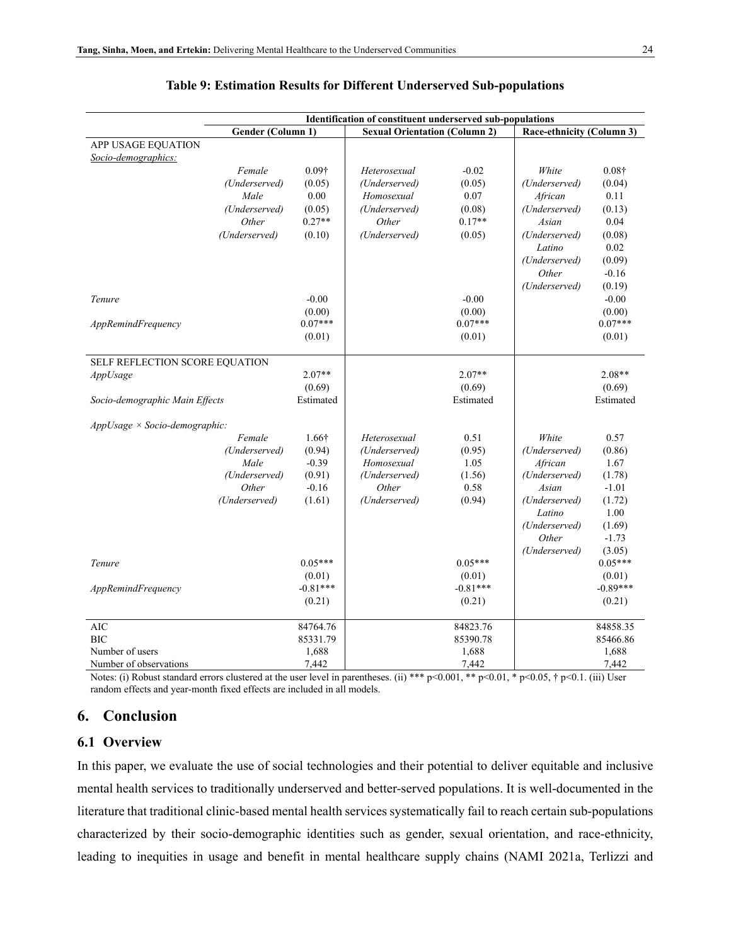<span id="page-23-0"></span>

|                                           |                   |                     | Identification of constituent underserved sub-populations |                     |                           |                     |
|-------------------------------------------|-------------------|---------------------|-----------------------------------------------------------|---------------------|---------------------------|---------------------|
|                                           | Gender (Column 1) |                     | <b>Sexual Orientation (Column 2)</b>                      |                     | Race-ethnicity (Column 3) |                     |
| APP USAGE EQUATION<br>Socio-demographics: |                   |                     |                                                           |                     |                           |                     |
|                                           | Female            | $0.09\dagger$       | Heterosexual                                              | $-0.02$             | White                     | $0.08\dagger$       |
|                                           | (Underserved)     | (0.05)              | (Underserved)                                             | (0.05)              | (Underserved)             | (0.04)              |
|                                           | Male              | 0.00                | Homosexual                                                | 0.07                | African                   | 0.11                |
|                                           | (Underserved)     | (0.05)              | (Underserved)                                             | (0.08)              | (Underserved)             | (0.13)              |
|                                           | Other             | $0.27**$            | Other                                                     | $0.17**$            | Asian                     | 0.04                |
|                                           | (Underserved)     | (0.10)              | (Underserved)                                             | (0.05)              | (Underserved)             | (0.08)              |
|                                           |                   |                     |                                                           |                     | Latino                    | 0.02                |
|                                           |                   |                     |                                                           |                     | (Underserved)             | (0.09)              |
|                                           |                   |                     |                                                           |                     | Other                     | $-0.16$             |
|                                           |                   |                     |                                                           |                     | (Underserved)             | (0.19)              |
| Tenure                                    |                   | $-0.00$             |                                                           | $-0.00$             |                           | $-0.00$             |
|                                           |                   | (0.00)<br>$0.07***$ |                                                           | (0.00)<br>$0.07***$ |                           | (0.00)<br>$0.07***$ |
| AppRemindFrequency                        |                   |                     |                                                           |                     |                           |                     |
|                                           |                   | (0.01)              |                                                           | (0.01)              |                           | (0.01)              |
| SELF REFLECTION SCORE EQUATION            |                   |                     |                                                           |                     |                           |                     |
| AppUsage                                  |                   | $2.07**$            |                                                           | $2.07**$            |                           | $2.08**$            |
|                                           |                   | (0.69)              |                                                           | (0.69)              |                           | (0.69)              |
| Socio-demographic Main Effects            |                   | Estimated           |                                                           | Estimated           |                           | Estimated           |
| $AppUsage \times Socio-demographic$ :     |                   |                     |                                                           |                     |                           |                     |
|                                           | Female            | $1.66\dagger$       | Heterosexual                                              | 0.51                | White                     | 0.57                |
|                                           | (Underserved)     | (0.94)              | (Underserved)                                             | (0.95)              | (Underserved)             | (0.86)              |
|                                           | Male              | $-0.39$             | Homosexual                                                | 1.05                | African                   | 1.67                |
|                                           | (Underserved)     | (0.91)              | (Underserved)                                             | (1.56)              | (Underserved)             | (1.78)              |
|                                           | Other             | $-0.16$             | Other                                                     | 0.58                | Asian                     | $-1.01$             |
|                                           | (Underserved)     | (1.61)              | (Underserved)                                             | (0.94)              | (Underserved)             | (1.72)              |
|                                           |                   |                     |                                                           |                     | Latino                    | 1.00                |
|                                           |                   |                     |                                                           |                     | (Underserved)             | (1.69)              |
|                                           |                   |                     |                                                           |                     | Other                     | $-1.73$             |
| Tenure                                    |                   | $0.05***$           |                                                           | $0.05***$           | (Underserved)             | (3.05)<br>$0.05***$ |
|                                           |                   | (0.01)              |                                                           | (0.01)              |                           | (0.01)              |
| AppRemindFrequency                        |                   | $-0.81***$          |                                                           | $-0.81***$          |                           | $-0.89***$          |
|                                           |                   | (0.21)              |                                                           | (0.21)              |                           | (0.21)              |
|                                           |                   |                     |                                                           |                     |                           |                     |
| AIC                                       |                   | 84764.76            |                                                           | 84823.76            |                           | 84858.35            |
| <b>BIC</b>                                |                   | 85331.79            |                                                           | 85390.78            |                           | 85466.86            |
| Number of users                           |                   | 1,688               |                                                           | 1,688               |                           | 1,688               |
| Number of observations                    |                   | 7,442               |                                                           | 7,442               |                           | 7,442               |

#### **Table 9: Estimation Results for Different Underserved Sub-populations**

Notes: (i) Robust standard errors clustered at the user level in parentheses. (ii) \*\*\* p<0.01, \*\* p<0.01, \* p<0.05, † p<0.1. (iii) User random effects and year-month fixed effects are included in all models.

## **6. Conclusion**

## **6.1 Overview**

In this paper, we evaluate the use of social technologies and their potential to deliver equitable and inclusive mental health services to traditionally underserved and better-served populations. It is well-documented in the literature that traditional clinic-based mental health services systematically fail to reach certain sub-populations characterized by their socio-demographic identities such as gender, sexual orientation, and race-ethnicity, leading to inequities in usage and benefit in mental healthcare supply chains (NAMI 2021a, Terlizzi and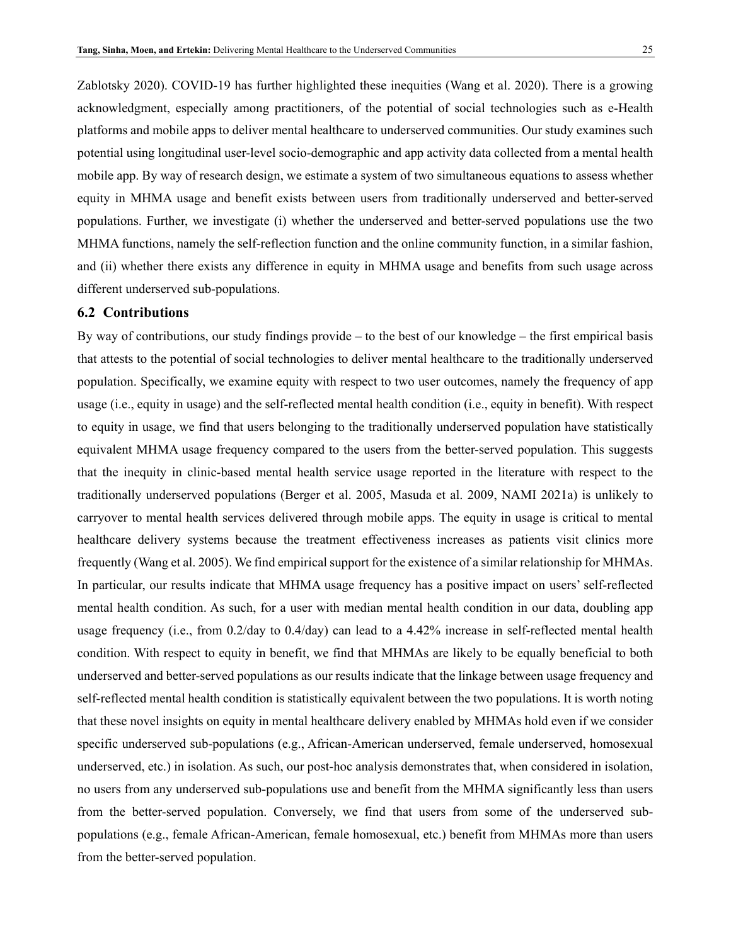Zablotsky 2020). COVID-19 has further highlighted these inequities (Wang et al. 2020). There is a growing acknowledgment, especially among practitioners, of the potential of social technologies such as e-Health platforms and mobile apps to deliver mental healthcare to underserved communities. Our study examines such potential using longitudinal user-level socio-demographic and app activity data collected from a mental health mobile app. By way of research design, we estimate a system of two simultaneous equations to assess whether equity in MHMA usage and benefit exists between users from traditionally underserved and better-served populations. Further, we investigate (i) whether the underserved and better-served populations use the two MHMA functions, namely the self-reflection function and the online community function, in a similar fashion, and (ii) whether there exists any difference in equity in MHMA usage and benefits from such usage across different underserved sub-populations.

## **6.2 Contributions**

By way of contributions, our study findings provide – to the best of our knowledge – the first empirical basis that attests to the potential of social technologies to deliver mental healthcare to the traditionally underserved population. Specifically, we examine equity with respect to two user outcomes, namely the frequency of app usage (i.e., equity in usage) and the self-reflected mental health condition (i.e., equity in benefit). With respect to equity in usage, we find that users belonging to the traditionally underserved population have statistically equivalent MHMA usage frequency compared to the users from the better-served population. This suggests that the inequity in clinic-based mental health service usage reported in the literature with respect to the traditionally underserved populations (Berger et al. 2005, Masuda et al. 2009, NAMI 2021a) is unlikely to carryover to mental health services delivered through mobile apps. The equity in usage is critical to mental healthcare delivery systems because the treatment effectiveness increases as patients visit clinics more frequently (Wang et al. 2005). We find empirical support for the existence of a similar relationship for MHMAs. In particular, our results indicate that MHMA usage frequency has a positive impact on users' self-reflected mental health condition. As such, for a user with median mental health condition in our data, doubling app usage frequency (i.e., from 0.2/day to 0.4/day) can lead to a 4.42% increase in self-reflected mental health condition. With respect to equity in benefit, we find that MHMAs are likely to be equally beneficial to both underserved and better-served populations as our results indicate that the linkage between usage frequency and self-reflected mental health condition is statistically equivalent between the two populations. It is worth noting that these novel insights on equity in mental healthcare delivery enabled by MHMAs hold even if we consider specific underserved sub-populations (e.g., African-American underserved, female underserved, homosexual underserved, etc.) in isolation. As such, our post-hoc analysis demonstrates that, when considered in isolation, no users from any underserved sub-populations use and benefit from the MHMA significantly less than users from the better-served population. Conversely, we find that users from some of the underserved subpopulations (e.g., female African-American, female homosexual, etc.) benefit from MHMAs more than users from the better-served population.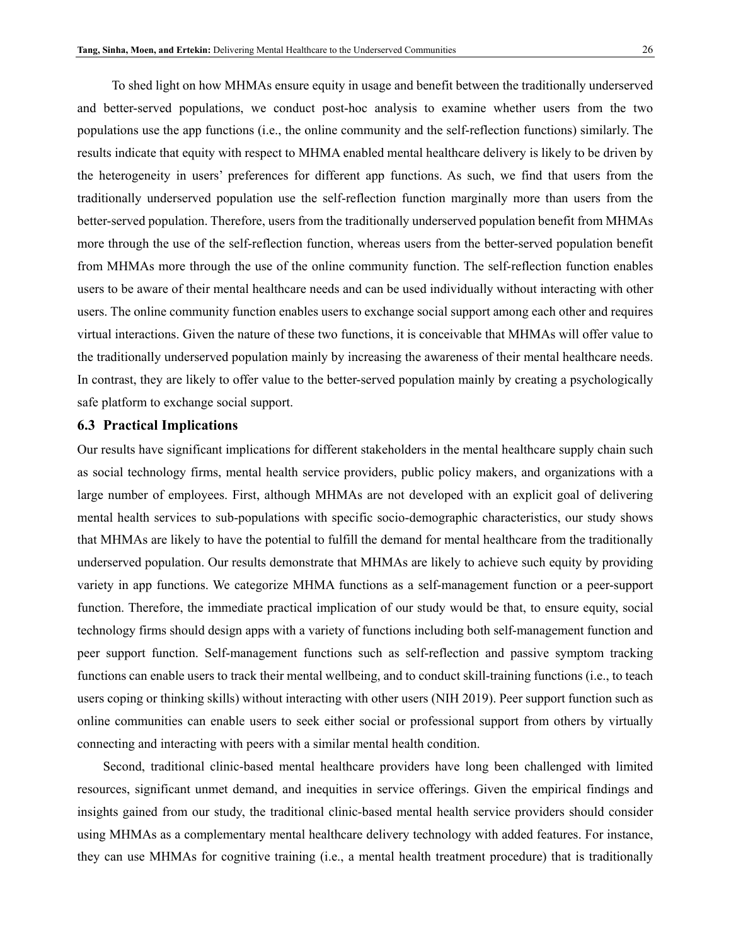To shed light on how MHMAs ensure equity in usage and benefit between the traditionally underserved and better-served populations, we conduct post-hoc analysis to examine whether users from the two populations use the app functions (i.e., the online community and the self-reflection functions) similarly. The results indicate that equity with respect to MHMA enabled mental healthcare delivery is likely to be driven by the heterogeneity in users' preferences for different app functions. As such, we find that users from the traditionally underserved population use the self-reflection function marginally more than users from the better-served population. Therefore, users from the traditionally underserved population benefit from MHMAs more through the use of the self-reflection function, whereas users from the better-served population benefit from MHMAs more through the use of the online community function. The self-reflection function enables users to be aware of their mental healthcare needs and can be used individually without interacting with other users. The online community function enables users to exchange social support among each other and requires virtual interactions. Given the nature of these two functions, it is conceivable that MHMAs will offer value to the traditionally underserved population mainly by increasing the awareness of their mental healthcare needs. In contrast, they are likely to offer value to the better-served population mainly by creating a psychologically safe platform to exchange social support.

#### **6.3 Practical Implications**

Our results have significant implications for different stakeholders in the mental healthcare supply chain such as social technology firms, mental health service providers, public policy makers, and organizations with a large number of employees. First, although MHMAs are not developed with an explicit goal of delivering mental health services to sub-populations with specific socio-demographic characteristics, our study shows that MHMAs are likely to have the potential to fulfill the demand for mental healthcare from the traditionally underserved population. Our results demonstrate that MHMAs are likely to achieve such equity by providing variety in app functions. We categorize MHMA functions as a self-management function or a peer-support function. Therefore, the immediate practical implication of our study would be that, to ensure equity, social technology firms should design apps with a variety of functions including both self-management function and peer support function. Self-management functions such as self-reflection and passive symptom tracking functions can enable users to track their mental wellbeing, and to conduct skill-training functions (i.e., to teach users coping or thinking skills) without interacting with other users (NIH 2019). Peer support function such as online communities can enable users to seek either social or professional support from others by virtually connecting and interacting with peers with a similar mental health condition.

Second, traditional clinic-based mental healthcare providers have long been challenged with limited resources, significant unmet demand, and inequities in service offerings. Given the empirical findings and insights gained from our study, the traditional clinic-based mental health service providers should consider using MHMAs as a complementary mental healthcare delivery technology with added features. For instance, they can use MHMAs for cognitive training (i.e., a mental health treatment procedure) that is traditionally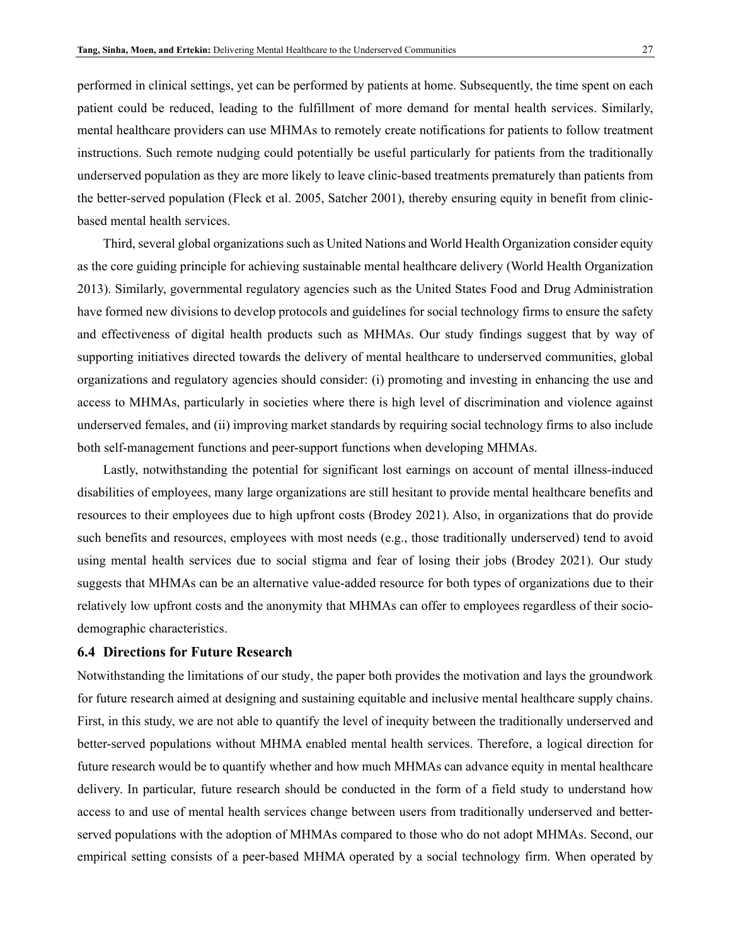performed in clinical settings, yet can be performed by patients at home. Subsequently, the time spent on each patient could be reduced, leading to the fulfillment of more demand for mental health services. Similarly, mental healthcare providers can use MHMAs to remotely create notifications for patients to follow treatment instructions. Such remote nudging could potentially be useful particularly for patients from the traditionally underserved population as they are more likely to leave clinic-based treatments prematurely than patients from the better-served population (Fleck et al. 2005, Satcher 2001), thereby ensuring equity in benefit from clinicbased mental health services.

Third, several global organizations such as United Nations and World Health Organization consider equity as the core guiding principle for achieving sustainable mental healthcare delivery (World Health Organization 2013). Similarly, governmental regulatory agencies such as the United States Food and Drug Administration have formed new divisions to develop protocols and guidelines for social technology firms to ensure the safety and effectiveness of digital health products such as MHMAs. Our study findings suggest that by way of supporting initiatives directed towards the delivery of mental healthcare to underserved communities, global organizations and regulatory agencies should consider: (i) promoting and investing in enhancing the use and access to MHMAs, particularly in societies where there is high level of discrimination and violence against underserved females, and (ii) improving market standards by requiring social technology firms to also include both self-management functions and peer-support functions when developing MHMAs.

Lastly, notwithstanding the potential for significant lost earnings on account of mental illness-induced disabilities of employees, many large organizations are still hesitant to provide mental healthcare benefits and resources to their employees due to high upfront costs (Brodey 2021). Also, in organizations that do provide such benefits and resources, employees with most needs (e.g., those traditionally underserved) tend to avoid using mental health services due to social stigma and fear of losing their jobs (Brodey 2021). Our study suggests that MHMAs can be an alternative value-added resource for both types of organizations due to their relatively low upfront costs and the anonymity that MHMAs can offer to employees regardless of their sociodemographic characteristics.

#### **6.4 Directions for Future Research**

Notwithstanding the limitations of our study, the paper both provides the motivation and lays the groundwork for future research aimed at designing and sustaining equitable and inclusive mental healthcare supply chains. First, in this study, we are not able to quantify the level of inequity between the traditionally underserved and better-served populations without MHMA enabled mental health services. Therefore, a logical direction for future research would be to quantify whether and how much MHMAs can advance equity in mental healthcare delivery. In particular, future research should be conducted in the form of a field study to understand how access to and use of mental health services change between users from traditionally underserved and betterserved populations with the adoption of MHMAs compared to those who do not adopt MHMAs. Second, our empirical setting consists of a peer-based MHMA operated by a social technology firm. When operated by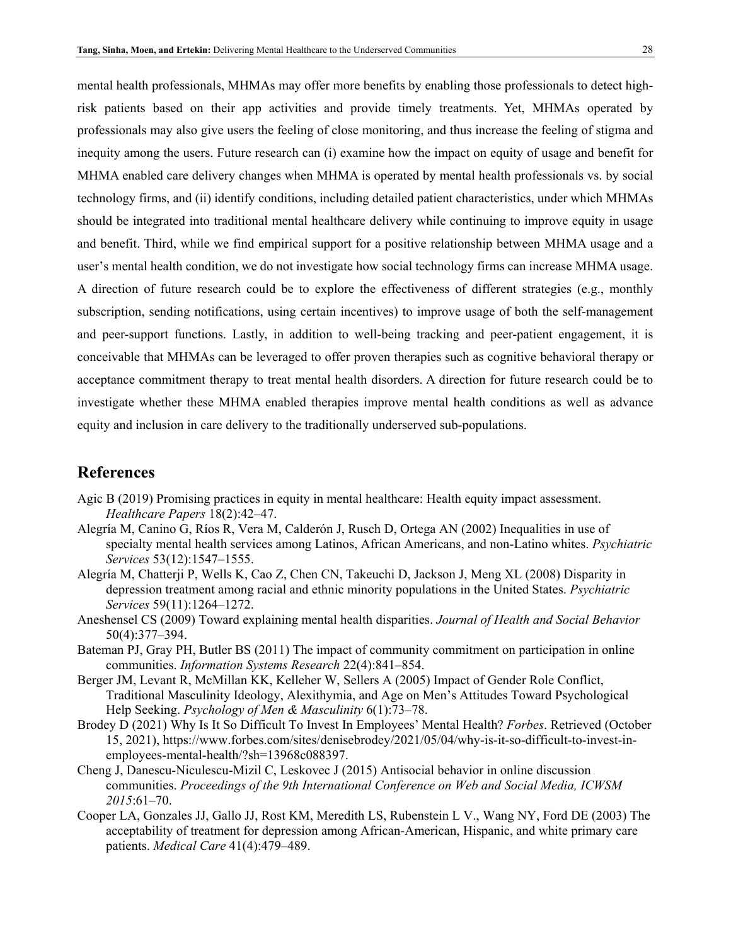risk patients based on their app activities and provide timely treatments. Yet, MHMAs operated by professionals may also give users the feeling of close monitoring, and thus increase the feeling of stigma and inequity among the users. Future research can (i) examine how the impact on equity of usage and benefit for MHMA enabled care delivery changes when MHMA is operated by mental health professionals vs. by social technology firms, and (ii) identify conditions, including detailed patient characteristics, under which MHMAs should be integrated into traditional mental healthcare delivery while continuing to improve equity in usage and benefit. Third, while we find empirical support for a positive relationship between MHMA usage and a user's mental health condition, we do not investigate how social technology firms can increase MHMA usage. A direction of future research could be to explore the effectiveness of different strategies (e.g., monthly subscription, sending notifications, using certain incentives) to improve usage of both the self-management and peer-support functions. Lastly, in addition to well-being tracking and peer-patient engagement, it is conceivable that MHMAs can be leveraged to offer proven therapies such as cognitive behavioral therapy or acceptance commitment therapy to treat mental health disorders. A direction for future research could be to investigate whether these MHMA enabled therapies improve mental health conditions as well as advance equity and inclusion in care delivery to the traditionally underserved sub-populations.

## **References**

- Agic B (2019) Promising practices in equity in mental healthcare: Health equity impact assessment. *Healthcare Papers* 18(2):42–47.
- Alegría M, Canino G, Ríos R, Vera M, Calderón J, Rusch D, Ortega AN (2002) Inequalities in use of specialty mental health services among Latinos, African Americans, and non-Latino whites. *Psychiatric Services* 53(12):1547–1555.
- Alegría M, Chatterji P, Wells K, Cao Z, Chen CN, Takeuchi D, Jackson J, Meng XL (2008) Disparity in depression treatment among racial and ethnic minority populations in the United States. *Psychiatric Services* 59(11):1264–1272.
- Aneshensel CS (2009) Toward explaining mental health disparities. *Journal of Health and Social Behavior* 50(4):377–394.
- Bateman PJ, Gray PH, Butler BS (2011) The impact of community commitment on participation in online communities. *Information Systems Research* 22(4):841–854.
- Berger JM, Levant R, McMillan KK, Kelleher W, Sellers A (2005) Impact of Gender Role Conflict, Traditional Masculinity Ideology, Alexithymia, and Age on Men's Attitudes Toward Psychological Help Seeking. *Psychology of Men & Masculinity* 6(1):73–78.
- Brodey D (2021) Why Is It So Difficult To Invest In Employees' Mental Health? *Forbes*. Retrieved (October 15, 2021), https://www.forbes.com/sites/denisebrodey/2021/05/04/why-is-it-so-difficult-to-invest-inemployees-mental-health/?sh=13968c088397.
- Cheng J, Danescu-Niculescu-Mizil C, Leskovec J (2015) Antisocial behavior in online discussion communities. *Proceedings of the 9th International Conference on Web and Social Media, ICWSM 2015*:61–70.
- Cooper LA, Gonzales JJ, Gallo JJ, Rost KM, Meredith LS, Rubenstein L V., Wang NY, Ford DE (2003) The acceptability of treatment for depression among African-American, Hispanic, and white primary care patients. *Medical Care* 41(4):479–489.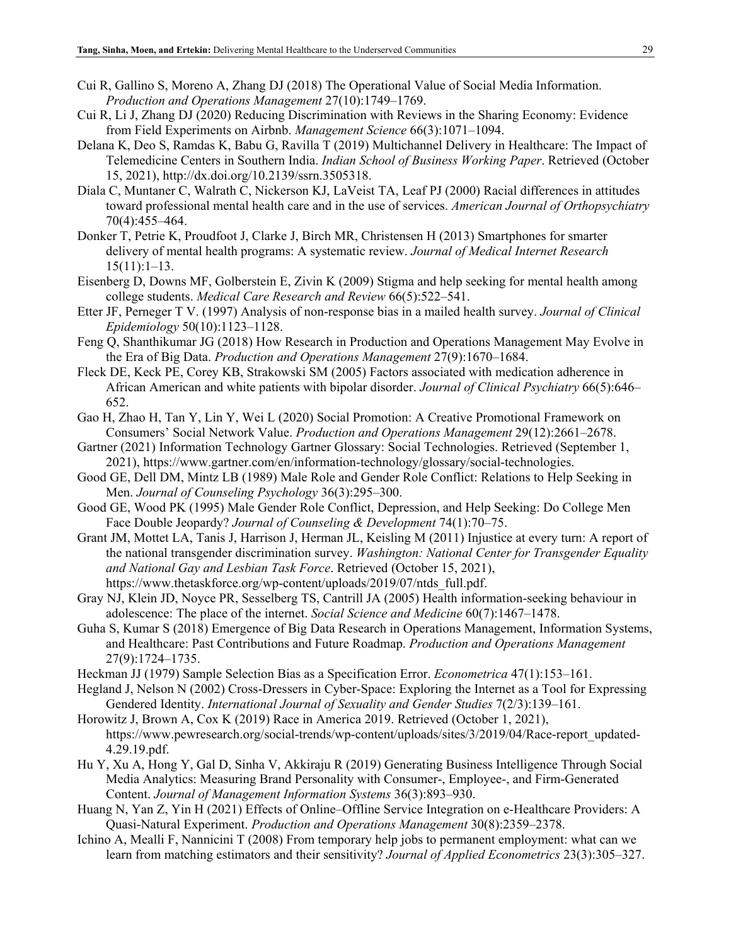- Cui R, Gallino S, Moreno A, Zhang DJ (2018) The Operational Value of Social Media Information. *Production and Operations Management* 27(10):1749–1769.
- Cui R, Li J, Zhang DJ (2020) Reducing Discrimination with Reviews in the Sharing Economy: Evidence from Field Experiments on Airbnb. *Management Science* 66(3):1071–1094.
- Delana K, Deo S, Ramdas K, Babu G, Ravilla T (2019) Multichannel Delivery in Healthcare: The Impact of Telemedicine Centers in Southern India. *Indian School of Business Working Paper*. Retrieved (October 15, 2021), http://dx.doi.org/10.2139/ssrn.3505318.
- Diala C, Muntaner C, Walrath C, Nickerson KJ, LaVeist TA, Leaf PJ (2000) Racial differences in attitudes toward professional mental health care and in the use of services. *American Journal of Orthopsychiatry* 70(4):455–464.
- Donker T, Petrie K, Proudfoot J, Clarke J, Birch MR, Christensen H (2013) Smartphones for smarter delivery of mental health programs: A systematic review. *Journal of Medical Internet Research* 15(11):1–13.
- Eisenberg D, Downs MF, Golberstein E, Zivin K (2009) Stigma and help seeking for mental health among college students. *Medical Care Research and Review* 66(5):522–541.
- Etter JF, Perneger T V. (1997) Analysis of non-response bias in a mailed health survey. *Journal of Clinical Epidemiology* 50(10):1123–1128.
- Feng Q, Shanthikumar JG (2018) How Research in Production and Operations Management May Evolve in the Era of Big Data. *Production and Operations Management* 27(9):1670–1684.
- Fleck DE, Keck PE, Corey KB, Strakowski SM (2005) Factors associated with medication adherence in African American and white patients with bipolar disorder. *Journal of Clinical Psychiatry* 66(5):646– 652.
- Gao H, Zhao H, Tan Y, Lin Y, Wei L (2020) Social Promotion: A Creative Promotional Framework on Consumers' Social Network Value. *Production and Operations Management* 29(12):2661–2678.
- Gartner (2021) Information Technology Gartner Glossary: Social Technologies. Retrieved (September 1, 2021), https://www.gartner.com/en/information-technology/glossary/social-technologies.
- Good GE, Dell DM, Mintz LB (1989) Male Role and Gender Role Conflict: Relations to Help Seeking in Men. *Journal of Counseling Psychology* 36(3):295–300.
- Good GE, Wood PK (1995) Male Gender Role Conflict, Depression, and Help Seeking: Do College Men Face Double Jeopardy? *Journal of Counseling & Development* 74(1):70–75.
- Grant JM, Mottet LA, Tanis J, Harrison J, Herman JL, Keisling M (2011) Injustice at every turn: A report of the national transgender discrimination survey. *Washington: National Center for Transgender Equality and National Gay and Lesbian Task Force*. Retrieved (October 15, 2021), https://www.thetaskforce.org/wp-content/uploads/2019/07/ntds\_full.pdf.
- Gray NJ, Klein JD, Noyce PR, Sesselberg TS, Cantrill JA (2005) Health information-seeking behaviour in adolescence: The place of the internet. *Social Science and Medicine* 60(7):1467–1478.
- Guha S, Kumar S (2018) Emergence of Big Data Research in Operations Management, Information Systems, and Healthcare: Past Contributions and Future Roadmap. *Production and Operations Management* 27(9):1724–1735.
- Heckman JJ (1979) Sample Selection Bias as a Specification Error. *Econometrica* 47(1):153–161.
- Hegland J, Nelson N (2002) Cross-Dressers in Cyber-Space: Exploring the Internet as a Tool for Expressing Gendered Identity. *International Journal of Sexuality and Gender Studies* 7(2/3):139–161.
- Horowitz J, Brown A, Cox K (2019) Race in America 2019. Retrieved (October 1, 2021), https://www.pewresearch.org/social-trends/wp-content/uploads/sites/3/2019/04/Race-report\_updated-4.29.19.pdf.
- Hu Y, Xu A, Hong Y, Gal D, Sinha V, Akkiraju R (2019) Generating Business Intelligence Through Social Media Analytics: Measuring Brand Personality with Consumer-, Employee-, and Firm-Generated Content. *Journal of Management Information Systems* 36(3):893–930.
- Huang N, Yan Z, Yin H (2021) Effects of Online–Offline Service Integration on e-Healthcare Providers: A Quasi-Natural Experiment. *Production and Operations Management* 30(8):2359–2378.
- Ichino A, Mealli F, Nannicini T (2008) From temporary help jobs to permanent employment: what can we learn from matching estimators and their sensitivity? *Journal of Applied Econometrics* 23(3):305–327.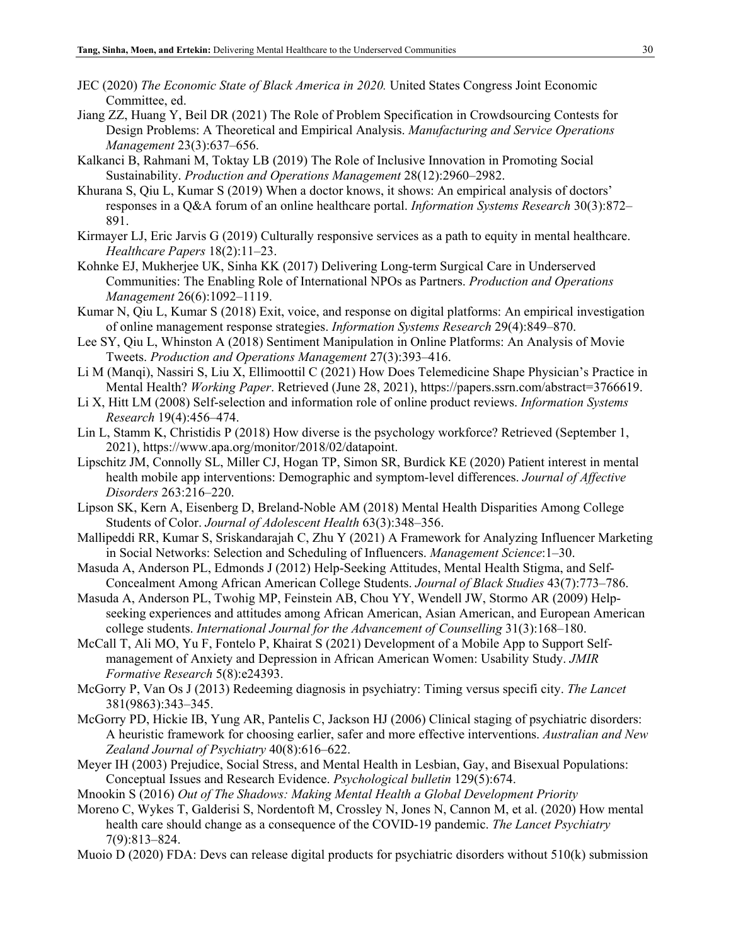- JEC (2020) *The Economic State of Black America in 2020.* United States Congress Joint Economic Committee, ed.
- Jiang ZZ, Huang Y, Beil DR (2021) The Role of Problem Specification in Crowdsourcing Contests for Design Problems: A Theoretical and Empirical Analysis. *Manufacturing and Service Operations Management* 23(3):637–656.
- Kalkanci B, Rahmani M, Toktay LB (2019) The Role of Inclusive Innovation in Promoting Social Sustainability. *Production and Operations Management* 28(12):2960–2982.
- Khurana S, Qiu L, Kumar S (2019) When a doctor knows, it shows: An empirical analysis of doctors' responses in a Q&A forum of an online healthcare portal. *Information Systems Research* 30(3):872– 891.
- Kirmayer LJ, Eric Jarvis G (2019) Culturally responsive services as a path to equity in mental healthcare. *Healthcare Papers* 18(2):11–23.
- Kohnke EJ, Mukherjee UK, Sinha KK (2017) Delivering Long-term Surgical Care in Underserved Communities: The Enabling Role of International NPOs as Partners. *Production and Operations Management* 26(6):1092–1119.
- Kumar N, Qiu L, Kumar S (2018) Exit, voice, and response on digital platforms: An empirical investigation of online management response strategies. *Information Systems Research* 29(4):849–870.
- Lee SY, Qiu L, Whinston A (2018) Sentiment Manipulation in Online Platforms: An Analysis of Movie Tweets. *Production and Operations Management* 27(3):393–416.
- Li M (Manqi), Nassiri S, Liu X, Ellimoottil C (2021) How Does Telemedicine Shape Physician's Practice in Mental Health? *Working Paper*. Retrieved (June 28, 2021), https://papers.ssrn.com/abstract=3766619.
- Li X, Hitt LM (2008) Self-selection and information role of online product reviews. *Information Systems Research* 19(4):456–474.
- Lin L, Stamm K, Christidis P (2018) How diverse is the psychology workforce? Retrieved (September 1, 2021), https://www.apa.org/monitor/2018/02/datapoint.
- Lipschitz JM, Connolly SL, Miller CJ, Hogan TP, Simon SR, Burdick KE (2020) Patient interest in mental health mobile app interventions: Demographic and symptom-level differences. *Journal of Affective Disorders* 263:216–220.
- Lipson SK, Kern A, Eisenberg D, Breland-Noble AM (2018) Mental Health Disparities Among College Students of Color. *Journal of Adolescent Health* 63(3):348–356.
- Mallipeddi RR, Kumar S, Sriskandarajah C, Zhu Y (2021) A Framework for Analyzing Influencer Marketing in Social Networks: Selection and Scheduling of Influencers. *Management Science*:1–30.
- Masuda A, Anderson PL, Edmonds J (2012) Help-Seeking Attitudes, Mental Health Stigma, and Self-Concealment Among African American College Students. *Journal of Black Studies* 43(7):773–786.
- Masuda A, Anderson PL, Twohig MP, Feinstein AB, Chou YY, Wendell JW, Stormo AR (2009) Helpseeking experiences and attitudes among African American, Asian American, and European American college students. *International Journal for the Advancement of Counselling* 31(3):168–180.
- McCall T, Ali MO, Yu F, Fontelo P, Khairat S (2021) Development of a Mobile App to Support Selfmanagement of Anxiety and Depression in African American Women: Usability Study. *JMIR Formative Research* 5(8):e24393.
- McGorry P, Van Os J (2013) Redeeming diagnosis in psychiatry: Timing versus specifi city. *The Lancet* 381(9863):343–345.
- McGorry PD, Hickie IB, Yung AR, Pantelis C, Jackson HJ (2006) Clinical staging of psychiatric disorders: A heuristic framework for choosing earlier, safer and more effective interventions. *Australian and New Zealand Journal of Psychiatry* 40(8):616–622.
- Meyer IH (2003) Prejudice, Social Stress, and Mental Health in Lesbian, Gay, and Bisexual Populations: Conceptual Issues and Research Evidence. *Psychological bulletin* 129(5):674.
- Mnookin S (2016) *Out of The Shadows: Making Mental Health a Global Development Priority*
- Moreno C, Wykes T, Galderisi S, Nordentoft M, Crossley N, Jones N, Cannon M, et al. (2020) How mental health care should change as a consequence of the COVID-19 pandemic. *The Lancet Psychiatry* 7(9):813–824.
- Muoio D (2020) FDA: Devs can release digital products for psychiatric disorders without 510(k) submission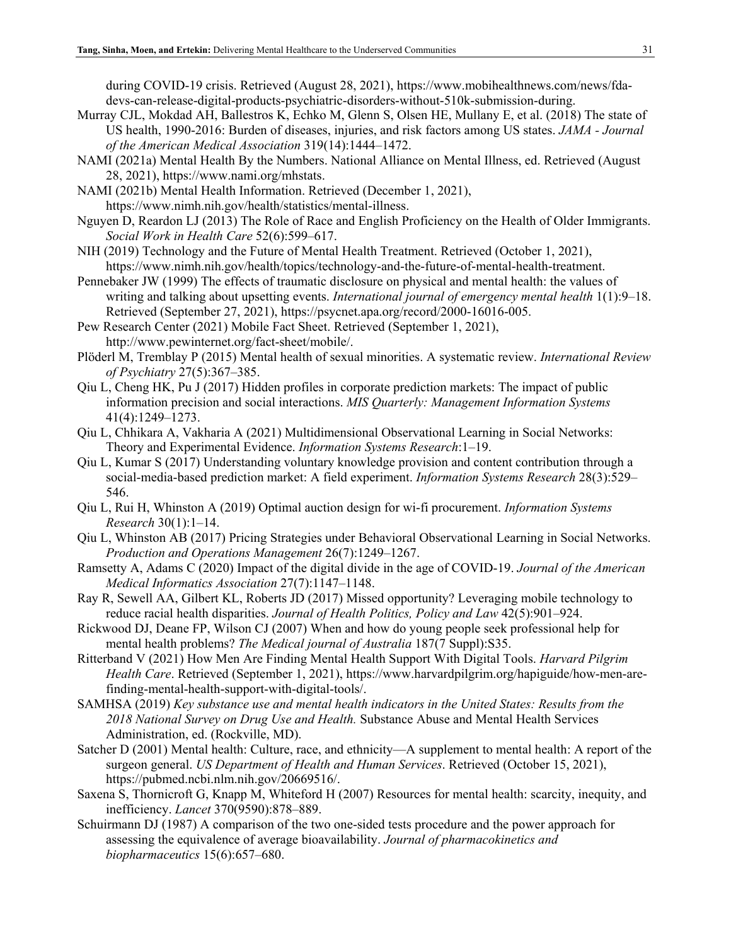during COVID-19 crisis. Retrieved (August 28, 2021), https://www.mobihealthnews.com/news/fdadevs-can-release-digital-products-psychiatric-disorders-without-510k-submission-during.

- Murray CJL, Mokdad AH, Ballestros K, Echko M, Glenn S, Olsen HE, Mullany E, et al. (2018) The state of US health, 1990-2016: Burden of diseases, injuries, and risk factors among US states. *JAMA - Journal of the American Medical Association* 319(14):1444–1472.
- NAMI (2021a) Mental Health By the Numbers. National Alliance on Mental Illness, ed. Retrieved (August 28, 2021), https://www.nami.org/mhstats.
- NAMI (2021b) Mental Health Information. Retrieved (December 1, 2021), https://www.nimh.nih.gov/health/statistics/mental-illness.
- Nguyen D, Reardon LJ (2013) The Role of Race and English Proficiency on the Health of Older Immigrants. *Social Work in Health Care* 52(6):599–617.
- NIH (2019) Technology and the Future of Mental Health Treatment. Retrieved (October 1, 2021), https://www.nimh.nih.gov/health/topics/technology-and-the-future-of-mental-health-treatment.
- Pennebaker JW (1999) The effects of traumatic disclosure on physical and mental health: the values of writing and talking about upsetting events. *International journal of emergency mental health* 1(1):9–18. Retrieved (September 27, 2021), https://psycnet.apa.org/record/2000-16016-005.
- Pew Research Center (2021) Mobile Fact Sheet. Retrieved (September 1, 2021), http://www.pewinternet.org/fact-sheet/mobile/.
- Plöderl M, Tremblay P (2015) Mental health of sexual minorities. A systematic review. *International Review of Psychiatry* 27(5):367–385.
- Qiu L, Cheng HK, Pu J (2017) Hidden profiles in corporate prediction markets: The impact of public information precision and social interactions. *MIS Quarterly: Management Information Systems* 41(4):1249–1273.
- Qiu L, Chhikara A, Vakharia A (2021) Multidimensional Observational Learning in Social Networks: Theory and Experimental Evidence. *Information Systems Research*:1–19.
- Qiu L, Kumar S (2017) Understanding voluntary knowledge provision and content contribution through a social-media-based prediction market: A field experiment. *Information Systems Research* 28(3):529– 546.
- Qiu L, Rui H, Whinston A (2019) Optimal auction design for wi-fi procurement. *Information Systems Research* 30(1):1–14.
- Qiu L, Whinston AB (2017) Pricing Strategies under Behavioral Observational Learning in Social Networks. *Production and Operations Management* 26(7):1249–1267.
- Ramsetty A, Adams C (2020) Impact of the digital divide in the age of COVID-19. *Journal of the American Medical Informatics Association* 27(7):1147–1148.
- Ray R, Sewell AA, Gilbert KL, Roberts JD (2017) Missed opportunity? Leveraging mobile technology to reduce racial health disparities. *Journal of Health Politics, Policy and Law* 42(5):901–924.
- Rickwood DJ, Deane FP, Wilson CJ (2007) When and how do young people seek professional help for mental health problems? *The Medical journal of Australia* 187(7 Suppl):S35.
- Ritterband V (2021) How Men Are Finding Mental Health Support With Digital Tools. *Harvard Pilgrim Health Care*. Retrieved (September 1, 2021), https://www.harvardpilgrim.org/hapiguide/how-men-arefinding-mental-health-support-with-digital-tools/.
- SAMHSA (2019) *Key substance use and mental health indicators in the United States: Results from the 2018 National Survey on Drug Use and Health.* Substance Abuse and Mental Health Services Administration, ed. (Rockville, MD).
- Satcher D (2001) Mental health: Culture, race, and ethnicity—A supplement to mental health: A report of the surgeon general. *US Department of Health and Human Services*. Retrieved (October 15, 2021), https://pubmed.ncbi.nlm.nih.gov/20669516/.
- Saxena S, Thornicroft G, Knapp M, Whiteford H (2007) Resources for mental health: scarcity, inequity, and inefficiency. *Lancet* 370(9590):878–889.
- Schuirmann DJ (1987) A comparison of the two one-sided tests procedure and the power approach for assessing the equivalence of average bioavailability. *Journal of pharmacokinetics and biopharmaceutics* 15(6):657–680.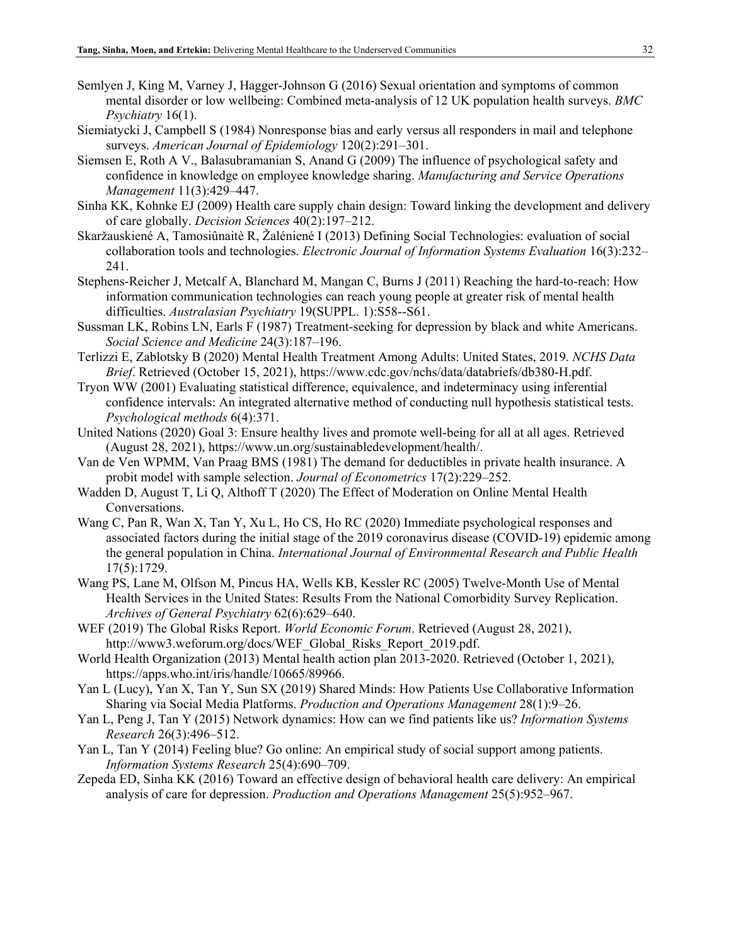- Semlyen J, King M, Varney J, Hagger-Johnson G (2016) Sexual orientation and symptoms of common mental disorder or low wellbeing: Combined meta-analysis of 12 UK population health surveys. *BMC Psychiatry* 16(1).
- Siemiatycki J, Campbell S (1984) Nonresponse bias and early versus all responders in mail and telephone surveys. *American Journal of Epidemiology* 120(2):291–301.
- Siemsen E, Roth A V., Balasubramanian S, Anand G (2009) The influence of psychological safety and confidence in knowledge on employee knowledge sharing. *Manufacturing and Service Operations Management* 11(3):429–447.
- Sinha KK, Kohnke EJ (2009) Health care supply chain design: Toward linking the development and delivery of care globally. *Decision Sciences* 40(2):197–212.
- Skaržauskiené A, Tamosiûnaitè R, Žaléniené I (2013) Defining Social Technologies: evaluation of social collaboration tools and technologies. *Electronic Journal of Information Systems Evaluation* 16(3):232– 241.
- Stephens-Reicher J, Metcalf A, Blanchard M, Mangan C, Burns J (2011) Reaching the hard-to-reach: How information communication technologies can reach young people at greater risk of mental health difficulties. *Australasian Psychiatry* 19(SUPPL. 1):S58--S61.
- Sussman LK, Robins LN, Earls F (1987) Treatment-seeking for depression by black and white Americans. *Social Science and Medicine* 24(3):187–196.
- Terlizzi E, Zablotsky B (2020) Mental Health Treatment Among Adults: United States, 2019. *NCHS Data Brief*. Retrieved (October 15, 2021), https://www.cdc.gov/nchs/data/databriefs/db380-H.pdf.
- Tryon WW (2001) Evaluating statistical difference, equivalence, and indeterminacy using inferential confidence intervals: An integrated alternative method of conducting null hypothesis statistical tests. *Psychological methods* 6(4):371.
- United Nations (2020) Goal 3: Ensure healthy lives and promote well-being for all at all ages. Retrieved (August 28, 2021), https://www.un.org/sustainabledevelopment/health/.
- Van de Ven WPMM, Van Praag BMS (1981) The demand for deductibles in private health insurance. A probit model with sample selection. *Journal of Econometrics* 17(2):229–252.
- Wadden D, August T, Li Q, Althoff T (2020) The Effect of Moderation on Online Mental Health Conversations.
- Wang C, Pan R, Wan X, Tan Y, Xu L, Ho CS, Ho RC (2020) Immediate psychological responses and associated factors during the initial stage of the 2019 coronavirus disease (COVID-19) epidemic among the general population in China. *International Journal of Environmental Research and Public Health* 17(5):1729.
- Wang PS, Lane M, Olfson M, Pincus HA, Wells KB, Kessler RC (2005) Twelve-Month Use of Mental Health Services in the United States: Results From the National Comorbidity Survey Replication. *Archives of General Psychiatry* 62(6):629–640.
- WEF (2019) The Global Risks Report. *World Economic Forum*. Retrieved (August 28, 2021), http://www3.weforum.org/docs/WEF\_Global\_Risks\_Report\_2019.pdf.
- World Health Organization (2013) Mental health action plan 2013-2020. Retrieved (October 1, 2021), https://apps.who.int/iris/handle/10665/89966.
- Yan L (Lucy), Yan X, Tan Y, Sun SX (2019) Shared Minds: How Patients Use Collaborative Information Sharing via Social Media Platforms. *Production and Operations Management* 28(1):9–26.
- Yan L, Peng J, Tan Y (2015) Network dynamics: How can we find patients like us? *Information Systems Research* 26(3):496–512.
- Yan L, Tan Y (2014) Feeling blue? Go online: An empirical study of social support among patients. *Information Systems Research* 25(4):690–709.
- Zepeda ED, Sinha KK (2016) Toward an effective design of behavioral health care delivery: An empirical analysis of care for depression. *Production and Operations Management* 25(5):952–967.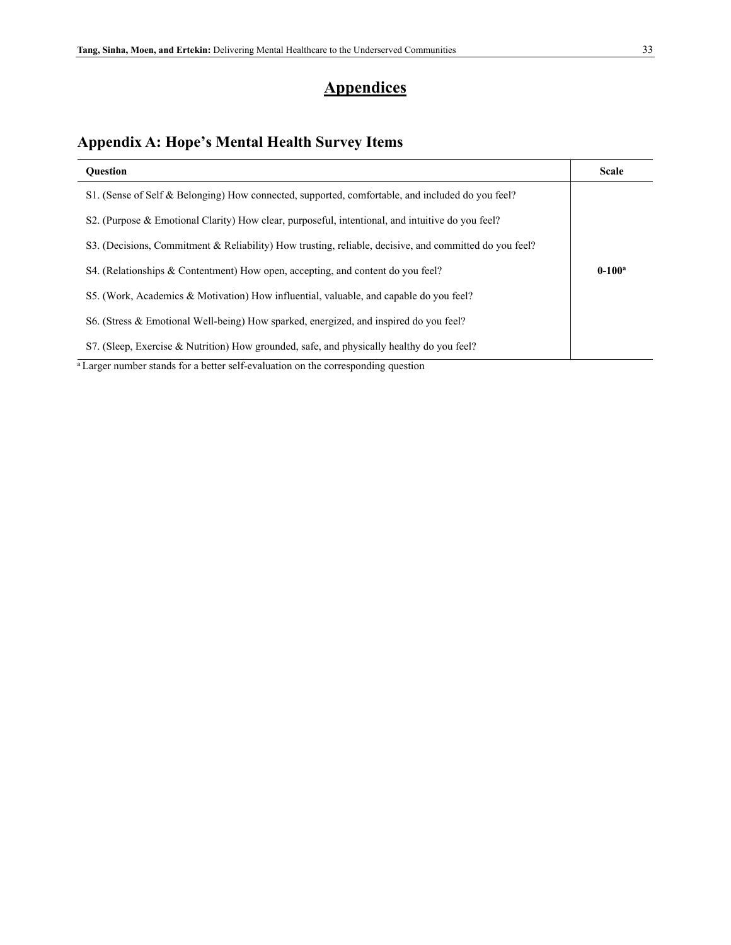## **Appendices**

# **Appendix A: Hope's Mental Health Survey Items**

| <b>Ouestion</b>                                                                                        | <b>Scale</b> |
|--------------------------------------------------------------------------------------------------------|--------------|
| S1. (Sense of Self & Belonging) How connected, supported, comfortable, and included do you feel?       |              |
| S2. (Purpose & Emotional Clarity) How clear, purposeful, intentional, and intuitive do you feel?       |              |
| S3. (Decisions, Commitment & Reliability) How trusting, reliable, decisive, and committed do you feel? |              |
| S4. (Relationships & Contentment) How open, accepting, and content do you feel?                        | $0-100^a$    |
| S5. (Work, Academics & Motivation) How influential, valuable, and capable do you feel?                 |              |
| S6. (Stress & Emotional Well-being) How sparked, energized, and inspired do you feel?                  |              |
| S7. (Sleep, Exercise & Nutrition) How grounded, safe, and physically healthy do you feel?              |              |

<sup>a</sup> Larger number stands for a better self-evaluation on the corresponding question